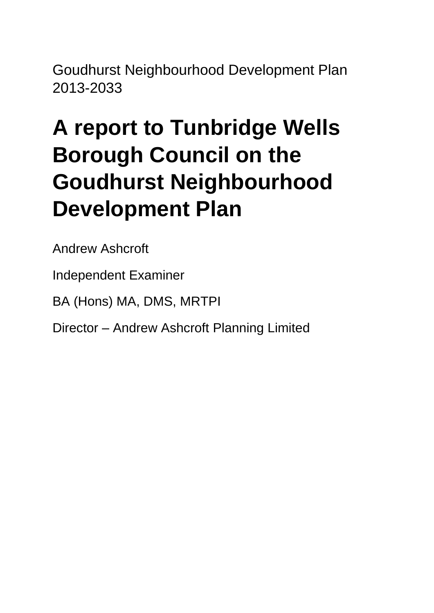Goudhurst Neighbourhood Development Plan 2013-2033

# **A report to Tunbridge Wells Borough Council on the Goudhurst Neighbourhood Development Plan**

Andrew Ashcroft

Independent Examiner

BA (Hons) MA, DMS, MRTPI

Director – Andrew Ashcroft Planning Limited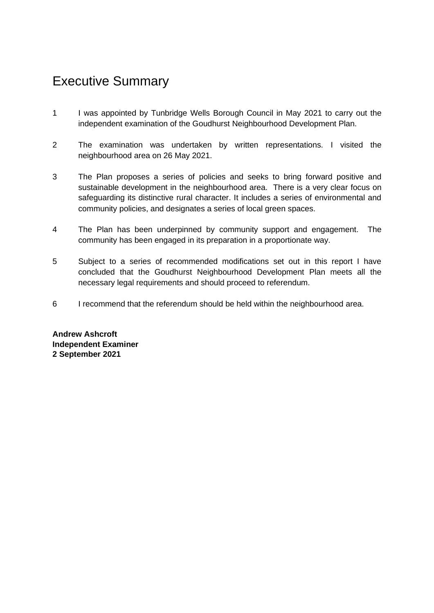# Executive Summary

- 1 I was appointed by Tunbridge Wells Borough Council in May 2021 to carry out the independent examination of the Goudhurst Neighbourhood Development Plan.
- 2 The examination was undertaken by written representations. I visited the neighbourhood area on 26 May 2021.
- 3 The Plan proposes a series of policies and seeks to bring forward positive and sustainable development in the neighbourhood area. There is a very clear focus on safeguarding its distinctive rural character. It includes a series of environmental and community policies, and designates a series of local green spaces.
- 4 The Plan has been underpinned by community support and engagement. The community has been engaged in its preparation in a proportionate way.
- 5 Subject to a series of recommended modifications set out in this report I have concluded that the Goudhurst Neighbourhood Development Plan meets all the necessary legal requirements and should proceed to referendum.
- 6 I recommend that the referendum should be held within the neighbourhood area.

**Andrew Ashcroft Independent Examiner 2 September 2021**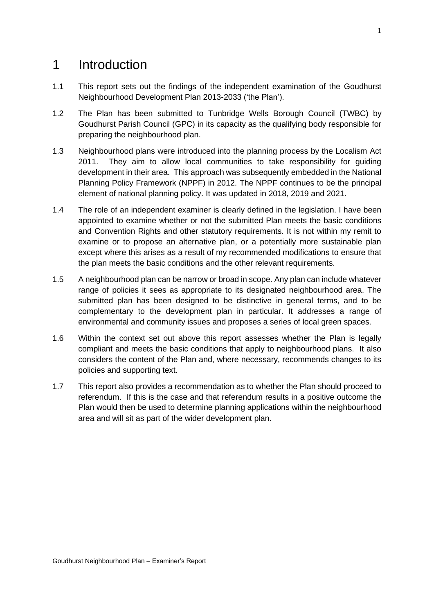# 1 Introduction

- 1.1 This report sets out the findings of the independent examination of the Goudhurst Neighbourhood Development Plan 2013-2033 ('the Plan').
- 1.2 The Plan has been submitted to Tunbridge Wells Borough Council (TWBC) by Goudhurst Parish Council (GPC) in its capacity as the qualifying body responsible for preparing the neighbourhood plan.
- 1.3 Neighbourhood plans were introduced into the planning process by the Localism Act 2011. They aim to allow local communities to take responsibility for guiding development in their area. This approach was subsequently embedded in the National Planning Policy Framework (NPPF) in 2012. The NPPF continues to be the principal element of national planning policy. It was updated in 2018, 2019 and 2021.
- 1.4 The role of an independent examiner is clearly defined in the legislation. I have been appointed to examine whether or not the submitted Plan meets the basic conditions and Convention Rights and other statutory requirements. It is not within my remit to examine or to propose an alternative plan, or a potentially more sustainable plan except where this arises as a result of my recommended modifications to ensure that the plan meets the basic conditions and the other relevant requirements.
- 1.5 A neighbourhood plan can be narrow or broad in scope. Any plan can include whatever range of policies it sees as appropriate to its designated neighbourhood area. The submitted plan has been designed to be distinctive in general terms, and to be complementary to the development plan in particular. It addresses a range of environmental and community issues and proposes a series of local green spaces.
- 1.6 Within the context set out above this report assesses whether the Plan is legally compliant and meets the basic conditions that apply to neighbourhood plans. It also considers the content of the Plan and, where necessary, recommends changes to its policies and supporting text.
- 1.7 This report also provides a recommendation as to whether the Plan should proceed to referendum. If this is the case and that referendum results in a positive outcome the Plan would then be used to determine planning applications within the neighbourhood area and will sit as part of the wider development plan.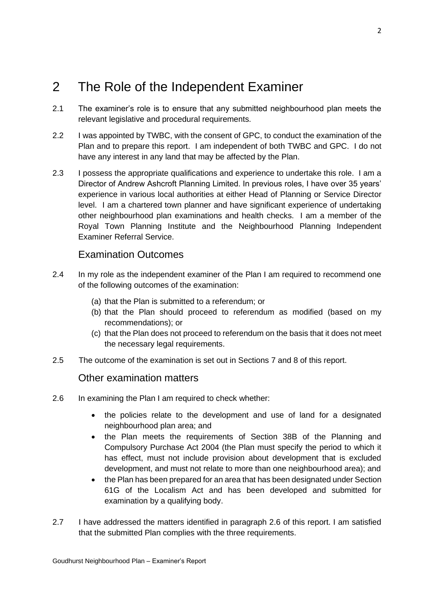# 2 The Role of the Independent Examiner

- 2.1 The examiner's role is to ensure that any submitted neighbourhood plan meets the relevant legislative and procedural requirements.
- 2.2 I was appointed by TWBC, with the consent of GPC, to conduct the examination of the Plan and to prepare this report. I am independent of both TWBC and GPC. I do not have any interest in any land that may be affected by the Plan.
- 2.3 I possess the appropriate qualifications and experience to undertake this role. I am a Director of Andrew Ashcroft Planning Limited. In previous roles, I have over 35 years' experience in various local authorities at either Head of Planning or Service Director level. I am a chartered town planner and have significant experience of undertaking other neighbourhood plan examinations and health checks. I am a member of the Royal Town Planning Institute and the Neighbourhood Planning Independent Examiner Referral Service.

# Examination Outcomes

- 2.4 In my role as the independent examiner of the Plan I am required to recommend one of the following outcomes of the examination:
	- (a) that the Plan is submitted to a referendum; or
	- (b) that the Plan should proceed to referendum as modified (based on my recommendations); or
	- (c) that the Plan does not proceed to referendum on the basis that it does not meet the necessary legal requirements.
- 2.5 The outcome of the examination is set out in Sections 7 and 8 of this report.

# Other examination matters

- 2.6 In examining the Plan I am required to check whether:
	- the policies relate to the development and use of land for a designated neighbourhood plan area; and
	- the Plan meets the requirements of Section 38B of the Planning and Compulsory Purchase Act 2004 (the Plan must specify the period to which it has effect, must not include provision about development that is excluded development, and must not relate to more than one neighbourhood area); and
	- the Plan has been prepared for an area that has been designated under Section 61G of the Localism Act and has been developed and submitted for examination by a qualifying body.
- 2.7 I have addressed the matters identified in paragraph 2.6 of this report. I am satisfied that the submitted Plan complies with the three requirements.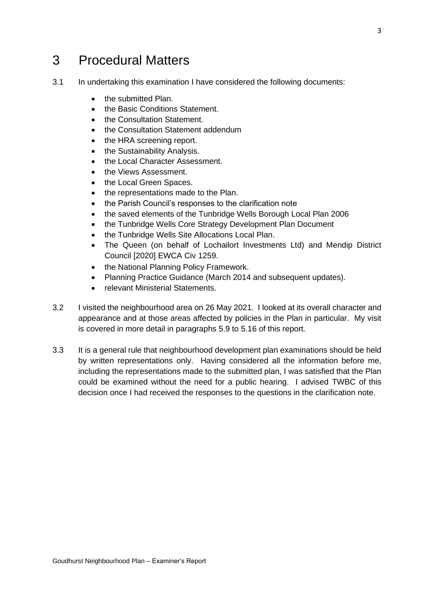# 3 Procedural Matters

- 3.1 In undertaking this examination I have considered the following documents:
	- the submitted Plan.
	- the Basic Conditions Statement.
	- the Consultation Statement.
	- the Consultation Statement addendum
	- the HRA screening report.
	- the Sustainability Analysis.
	- the Local Character Assessment.
	- the Views Assessment.
	- the Local Green Spaces.
	- the representations made to the Plan.
	- the Parish Council's responses to the clarification note
	- the saved elements of the Tunbridge Wells Borough Local Plan 2006
	- the Tunbridge Wells Core Strategy Development Plan Document
	- the Tunbridge Wells Site Allocations Local Plan.
	- The Queen (on behalf of Lochailort Investments Ltd) and Mendip District Council [2020] EWCA Civ 1259.
	- the National Planning Policy Framework.
	- Planning Practice Guidance (March 2014 and subsequent updates).
	- relevant Ministerial Statements.
- 3.2 I visited the neighbourhood area on 26 May 2021. I looked at its overall character and appearance and at those areas affected by policies in the Plan in particular. My visit is covered in more detail in paragraphs 5.9 to 5.16 of this report.
- 3.3 It is a general rule that neighbourhood development plan examinations should be held by written representations only. Having considered all the information before me, including the representations made to the submitted plan, I was satisfied that the Plan could be examined without the need for a public hearing. I advised TWBC of this decision once I had received the responses to the questions in the clarification note.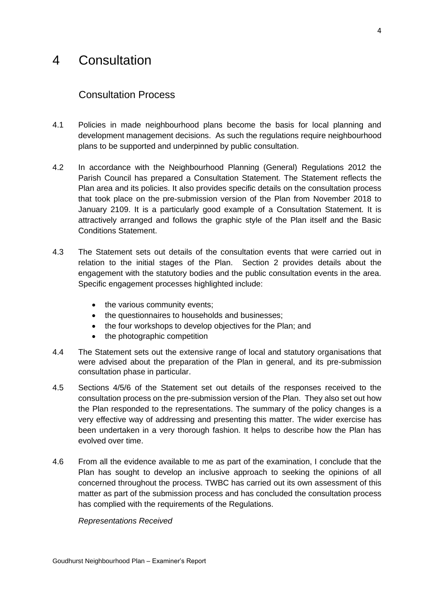# 4 Consultation

# Consultation Process

- 4.1 Policies in made neighbourhood plans become the basis for local planning and development management decisions. As such the regulations require neighbourhood plans to be supported and underpinned by public consultation.
- 4.2 In accordance with the Neighbourhood Planning (General) Regulations 2012 the Parish Council has prepared a Consultation Statement. The Statement reflects the Plan area and its policies. It also provides specific details on the consultation process that took place on the pre-submission version of the Plan from November 2018 to January 2109. It is a particularly good example of a Consultation Statement. It is attractively arranged and follows the graphic style of the Plan itself and the Basic Conditions Statement.
- 4.3 The Statement sets out details of the consultation events that were carried out in relation to the initial stages of the Plan. Section 2 provides details about the engagement with the statutory bodies and the public consultation events in the area. Specific engagement processes highlighted include:
	- the various community events;
	- the questionnaires to households and businesses:
	- the four workshops to develop objectives for the Plan; and
	- the photographic competition
- 4.4 The Statement sets out the extensive range of local and statutory organisations that were advised about the preparation of the Plan in general, and its pre-submission consultation phase in particular.
- 4.5 Sections 4/5/6 of the Statement set out details of the responses received to the consultation process on the pre-submission version of the Plan. They also set out how the Plan responded to the representations. The summary of the policy changes is a very effective way of addressing and presenting this matter. The wider exercise has been undertaken in a very thorough fashion. It helps to describe how the Plan has evolved over time.
- 4.6 From all the evidence available to me as part of the examination, I conclude that the Plan has sought to develop an inclusive approach to seeking the opinions of all concerned throughout the process. TWBC has carried out its own assessment of this matter as part of the submission process and has concluded the consultation process has complied with the requirements of the Regulations.

*Representations Received*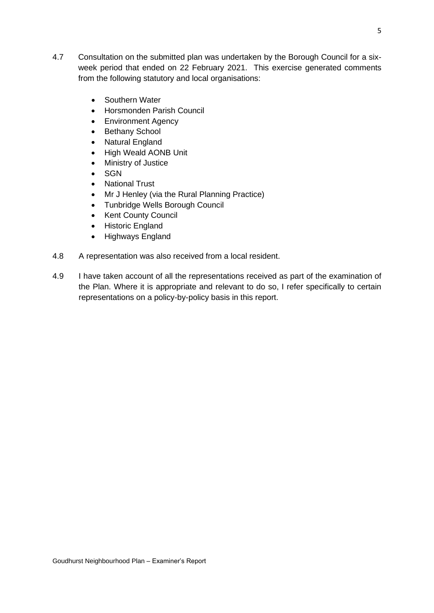- 4.7 Consultation on the submitted plan was undertaken by the Borough Council for a sixweek period that ended on 22 February 2021. This exercise generated comments from the following statutory and local organisations:
	- Southern Water
	- Horsmonden Parish Council
	- Environment Agency
	- Bethany School
	- Natural England
	- High Weald AONB Unit
	- Ministry of Justice
	- SGN
	- National Trust
	- Mr J Henley (via the Rural Planning Practice)
	- Tunbridge Wells Borough Council
	- Kent County Council
	- Historic England
	- Highways England
- 4.8 A representation was also received from a local resident.
- 4.9 I have taken account of all the representations received as part of the examination of the Plan. Where it is appropriate and relevant to do so, I refer specifically to certain representations on a policy-by-policy basis in this report.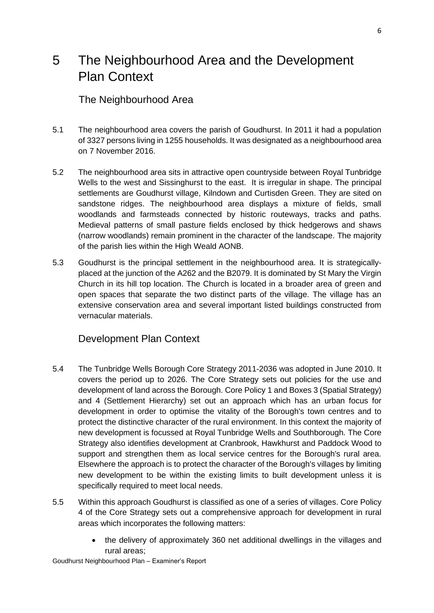# 5 The Neighbourhood Area and the Development Plan Context

# The Neighbourhood Area

- 5.1 The neighbourhood area covers the parish of Goudhurst. In 2011 it had a population of 3327 persons living in 1255 households. It was designated as a neighbourhood area on 7 November 2016.
- 5.2 The neighbourhood area sits in attractive open countryside between Royal Tunbridge Wells to the west and Sissinghurst to the east. It is irregular in shape. The principal settlements are Goudhurst village, Kilndown and Curtisden Green. They are sited on sandstone ridges. The neighbourhood area displays a mixture of fields, small woodlands and farmsteads connected by historic routeways, tracks and paths. Medieval patterns of small pasture fields enclosed by thick hedgerows and shaws (narrow woodlands) remain prominent in the character of the landscape. The majority of the parish lies within the High Weald AONB.
- 5.3 Goudhurst is the principal settlement in the neighbourhood area. It is strategicallyplaced at the junction of the A262 and the B2079. It is dominated by St Mary the Virgin Church in its hill top location. The Church is located in a broader area of green and open spaces that separate the two distinct parts of the village. The village has an extensive conservation area and several important listed buildings constructed from vernacular materials.

# Development Plan Context

- 5.4 The Tunbridge Wells Borough Core Strategy 2011-2036 was adopted in June 2010. It covers the period up to 2026. The Core Strategy sets out policies for the use and development of land across the Borough. Core Policy 1 and Boxes 3 (Spatial Strategy) and 4 (Settlement Hierarchy) set out an approach which has an urban focus for development in order to optimise the vitality of the Borough's town centres and to protect the distinctive character of the rural environment. In this context the majority of new development is focussed at Royal Tunbridge Wells and Southborough. The Core Strategy also identifies development at Cranbrook, Hawkhurst and Paddock Wood to support and strengthen them as local service centres for the Borough's rural area. Elsewhere the approach is to protect the character of the Borough's villages by limiting new development to be within the existing limits to built development unless it is specifically required to meet local needs.
- 5.5 Within this approach Goudhurst is classified as one of a series of villages. Core Policy 4 of the Core Strategy sets out a comprehensive approach for development in rural areas which incorporates the following matters:
	- the delivery of approximately 360 net additional dwellings in the villages and rural areas;

Goudhurst Neighbourhood Plan – Examiner's Report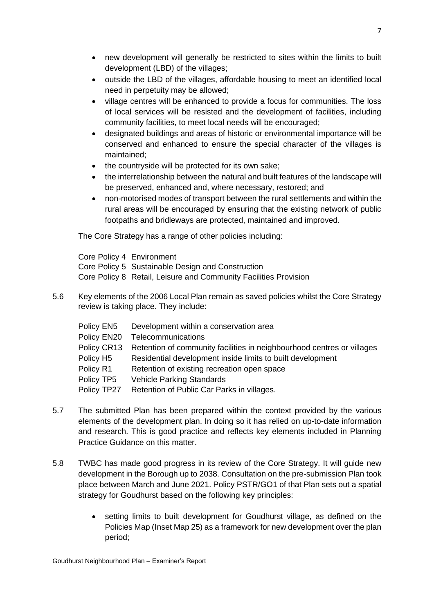- new development will generally be restricted to sites within the limits to built development (LBD) of the villages;
- outside the LBD of the villages, affordable housing to meet an identified local need in perpetuity may be allowed;
- village centres will be enhanced to provide a focus for communities. The loss of local services will be resisted and the development of facilities, including community facilities, to meet local needs will be encouraged;
- designated buildings and areas of historic or environmental importance will be conserved and enhanced to ensure the special character of the villages is maintained;
- the countryside will be protected for its own sake;
- the interrelationship between the natural and built features of the landscape will be preserved, enhanced and, where necessary, restored; and
- non-motorised modes of transport between the rural settlements and within the rural areas will be encouraged by ensuring that the existing network of public footpaths and bridleways are protected, maintained and improved.

The Core Strategy has a range of other policies including:

Core Policy 4 Environment Core Policy 5 Sustainable Design and Construction Core Policy 8 Retail, Leisure and Community Facilities Provision

5.6 Key elements of the 2006 Local Plan remain as saved policies whilst the Core Strategy review is taking place. They include:

| Policy EN5            | Development within a conservation area                                 |
|-----------------------|------------------------------------------------------------------------|
| Policy EN20           | Telecommunications                                                     |
| Policy CR13           | Retention of community facilities in neighbourhood centres or villages |
| Policy H <sub>5</sub> | Residential development inside limits to built development             |
| Policy R1             | Retention of existing recreation open space                            |
| Policy TP5            | <b>Vehicle Parking Standards</b>                                       |
| Policy TP27           | Retention of Public Car Parks in villages.                             |

- 5.7 The submitted Plan has been prepared within the context provided by the various elements of the development plan. In doing so it has relied on up-to-date information and research. This is good practice and reflects key elements included in Planning Practice Guidance on this matter.
- 5.8 TWBC has made good progress in its review of the Core Strategy. It will guide new development in the Borough up to 2038. Consultation on the pre-submission Plan took place between March and June 2021. Policy PSTR/GO1 of that Plan sets out a spatial strategy for Goudhurst based on the following key principles:
	- setting limits to built development for Goudhurst village, as defined on the Policies Map (Inset Map 25) as a framework for new development over the plan period;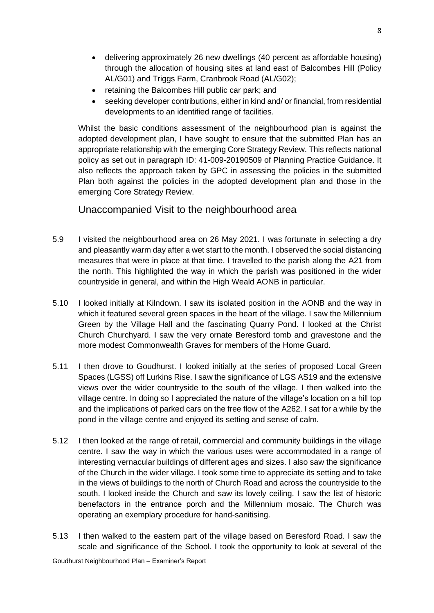- delivering approximately 26 new dwellings (40 percent as affordable housing) through the allocation of housing sites at land east of Balcombes Hill (Policy AL/G01) and Triggs Farm, Cranbrook Road (AL/G02);
- retaining the Balcombes Hill public car park; and
- seeking developer contributions, either in kind and/ or financial, from residential developments to an identified range of facilities.

Whilst the basic conditions assessment of the neighbourhood plan is against the adopted development plan, I have sought to ensure that the submitted Plan has an appropriate relationship with the emerging Core Strategy Review. This reflects national policy as set out in paragraph ID: 41-009-20190509 of Planning Practice Guidance. It also reflects the approach taken by GPC in assessing the policies in the submitted Plan both against the policies in the adopted development plan and those in the emerging Core Strategy Review.

# Unaccompanied Visit to the neighbourhood area

- 5.9 I visited the neighbourhood area on 26 May 2021. I was fortunate in selecting a dry and pleasantly warm day after a wet start to the month. I observed the social distancing measures that were in place at that time. I travelled to the parish along the A21 from the north. This highlighted the way in which the parish was positioned in the wider countryside in general, and within the High Weald AONB in particular.
- 5.10 I looked initially at Kilndown. I saw its isolated position in the AONB and the way in which it featured several green spaces in the heart of the village. I saw the Millennium Green by the Village Hall and the fascinating Quarry Pond. I looked at the Christ Church Churchyard. I saw the very ornate Beresford tomb and gravestone and the more modest Commonwealth Graves for members of the Home Guard.
- 5.11 I then drove to Goudhurst. I looked initially at the series of proposed Local Green Spaces (LGSS) off Lurkins Rise. I saw the significance of LGS AS19 and the extensive views over the wider countryside to the south of the village. I then walked into the village centre. In doing so I appreciated the nature of the village's location on a hill top and the implications of parked cars on the free flow of the A262. I sat for a while by the pond in the village centre and enjoyed its setting and sense of calm.
- 5.12 I then looked at the range of retail, commercial and community buildings in the village centre. I saw the way in which the various uses were accommodated in a range of interesting vernacular buildings of different ages and sizes. I also saw the significance of the Church in the wider village. I took some time to appreciate its setting and to take in the views of buildings to the north of Church Road and across the countryside to the south. I looked inside the Church and saw its lovely ceiling. I saw the list of historic benefactors in the entrance porch and the Millennium mosaic. The Church was operating an exemplary procedure for hand-sanitising.
- 5.13 I then walked to the eastern part of the village based on Beresford Road. I saw the scale and significance of the School. I took the opportunity to look at several of the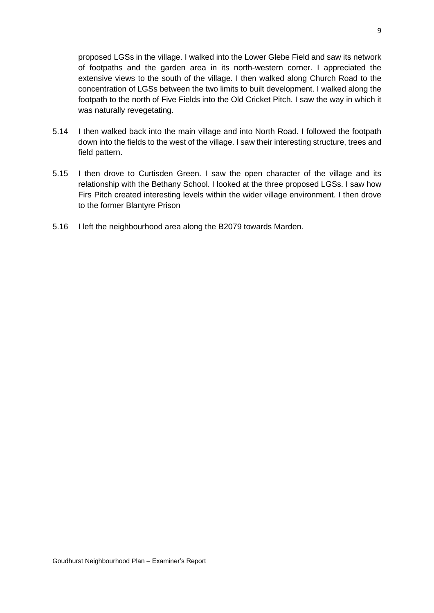proposed LGSs in the village. I walked into the Lower Glebe Field and saw its network of footpaths and the garden area in its north-western corner. I appreciated the extensive views to the south of the village. I then walked along Church Road to the concentration of LGSs between the two limits to built development. I walked along the footpath to the north of Five Fields into the Old Cricket Pitch. I saw the way in which it was naturally revegetating.

- 5.14 I then walked back into the main village and into North Road. I followed the footpath down into the fields to the west of the village. I saw their interesting structure, trees and field pattern.
- 5.15 I then drove to Curtisden Green. I saw the open character of the village and its relationship with the Bethany School. I looked at the three proposed LGSs. I saw how Firs Pitch created interesting levels within the wider village environment. I then drove to the former Blantyre Prison
- 5.16 I left the neighbourhood area along the B2079 towards Marden.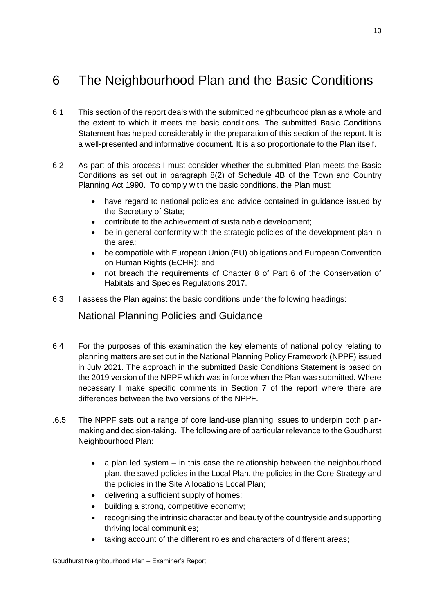# 6 The Neighbourhood Plan and the Basic Conditions

- 6.1 This section of the report deals with the submitted neighbourhood plan as a whole and the extent to which it meets the basic conditions. The submitted Basic Conditions Statement has helped considerably in the preparation of this section of the report. It is a well-presented and informative document. It is also proportionate to the Plan itself.
- 6.2 As part of this process I must consider whether the submitted Plan meets the Basic Conditions as set out in paragraph 8(2) of Schedule 4B of the Town and Country Planning Act 1990. To comply with the basic conditions, the Plan must:
	- have regard to national policies and advice contained in guidance issued by the Secretary of State;
	- contribute to the achievement of sustainable development;
	- be in general conformity with the strategic policies of the development plan in the area;
	- be compatible with European Union (EU) obligations and European Convention on Human Rights (ECHR); and
	- not breach the requirements of Chapter 8 of Part 6 of the Conservation of Habitats and Species Regulations 2017.
- 6.3 I assess the Plan against the basic conditions under the following headings:

National Planning Policies and Guidance

- 6.4 For the purposes of this examination the key elements of national policy relating to planning matters are set out in the National Planning Policy Framework (NPPF) issued in July 2021. The approach in the submitted Basic Conditions Statement is based on the 2019 version of the NPPF which was in force when the Plan was submitted. Where necessary I make specific comments in Section 7 of the report where there are differences between the two versions of the NPPF.
- .6.5 The NPPF sets out a range of core land-use planning issues to underpin both planmaking and decision-taking. The following are of particular relevance to the Goudhurst Neighbourhood Plan:
	- a plan led system in this case the relationship between the neighbourhood plan, the saved policies in the Local Plan, the policies in the Core Strategy and the policies in the Site Allocations Local Plan;
	- delivering a sufficient supply of homes;
	- building a strong, competitive economy;
	- recognising the intrinsic character and beauty of the countryside and supporting thriving local communities;
	- taking account of the different roles and characters of different areas;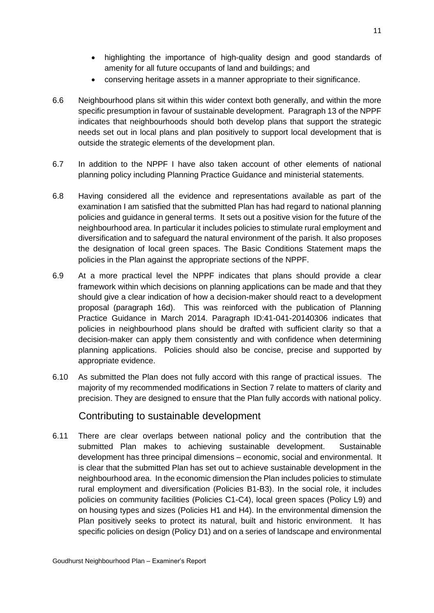- highlighting the importance of high-quality design and good standards of amenity for all future occupants of land and buildings; and
- conserving heritage assets in a manner appropriate to their significance.
- 6.6 Neighbourhood plans sit within this wider context both generally, and within the more specific presumption in favour of sustainable development. Paragraph 13 of the NPPF indicates that neighbourhoods should both develop plans that support the strategic needs set out in local plans and plan positively to support local development that is outside the strategic elements of the development plan.
- 6.7 In addition to the NPPF I have also taken account of other elements of national planning policy including Planning Practice Guidance and ministerial statements.
- 6.8 Having considered all the evidence and representations available as part of the examination I am satisfied that the submitted Plan has had regard to national planning policies and guidance in general terms. It sets out a positive vision for the future of the neighbourhood area. In particular it includes policies to stimulate rural employment and diversification and to safeguard the natural environment of the parish. It also proposes the designation of local green spaces. The Basic Conditions Statement maps the policies in the Plan against the appropriate sections of the NPPF.
- 6.9 At a more practical level the NPPF indicates that plans should provide a clear framework within which decisions on planning applications can be made and that they should give a clear indication of how a decision-maker should react to a development proposal (paragraph 16d). This was reinforced with the publication of Planning Practice Guidance in March 2014. Paragraph ID:41-041-20140306 indicates that policies in neighbourhood plans should be drafted with sufficient clarity so that a decision-maker can apply them consistently and with confidence when determining planning applications. Policies should also be concise, precise and supported by appropriate evidence.
- 6.10 As submitted the Plan does not fully accord with this range of practical issues. The majority of my recommended modifications in Section 7 relate to matters of clarity and precision. They are designed to ensure that the Plan fully accords with national policy.

# Contributing to sustainable development

6.11 There are clear overlaps between national policy and the contribution that the submitted Plan makes to achieving sustainable development. Sustainable development has three principal dimensions – economic, social and environmental. It is clear that the submitted Plan has set out to achieve sustainable development in the neighbourhood area. In the economic dimension the Plan includes policies to stimulate rural employment and diversification (Policies B1-B3). In the social role, it includes policies on community facilities (Policies C1-C4), local green spaces (Policy L9) and on housing types and sizes (Policies H1 and H4). In the environmental dimension the Plan positively seeks to protect its natural, built and historic environment. It has specific policies on design (Policy D1) and on a series of landscape and environmental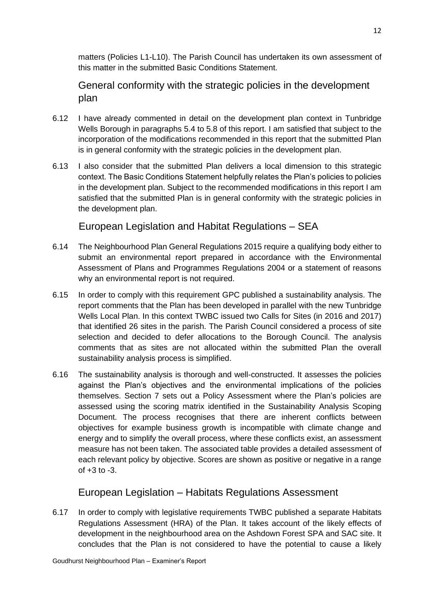matters (Policies L1-L10). The Parish Council has undertaken its own assessment of this matter in the submitted Basic Conditions Statement.

General conformity with the strategic policies in the development plan

- 6.12 I have already commented in detail on the development plan context in Tunbridge Wells Borough in paragraphs 5.4 to 5.8 of this report. I am satisfied that subject to the incorporation of the modifications recommended in this report that the submitted Plan is in general conformity with the strategic policies in the development plan.
- 6.13 I also consider that the submitted Plan delivers a local dimension to this strategic context. The Basic Conditions Statement helpfully relates the Plan's policies to policies in the development plan. Subject to the recommended modifications in this report I am satisfied that the submitted Plan is in general conformity with the strategic policies in the development plan.

European Legislation and Habitat Regulations – SEA

- 6.14 The Neighbourhood Plan General Regulations 2015 require a qualifying body either to submit an environmental report prepared in accordance with the Environmental Assessment of Plans and Programmes Regulations 2004 or a statement of reasons why an environmental report is not required.
- 6.15 In order to comply with this requirement GPC published a sustainability analysis. The report comments that the Plan has been developed in parallel with the new Tunbridge Wells Local Plan. In this context TWBC issued two Calls for Sites (in 2016 and 2017) that identified 26 sites in the parish. The Parish Council considered a process of site selection and decided to defer allocations to the Borough Council. The analysis comments that as sites are not allocated within the submitted Plan the overall sustainability analysis process is simplified.
- 6.16 The sustainability analysis is thorough and well-constructed. It assesses the policies against the Plan's objectives and the environmental implications of the policies themselves. Section 7 sets out a Policy Assessment where the Plan's policies are assessed using the scoring matrix identified in the Sustainability Analysis Scoping Document. The process recognises that there are inherent conflicts between objectives for example business growth is incompatible with climate change and energy and to simplify the overall process, where these conflicts exist, an assessment measure has not been taken. The associated table provides a detailed assessment of each relevant policy by objective. Scores are shown as positive or negative in a range of  $+3$  to  $-3$ .

# European Legislation – Habitats Regulations Assessment

6.17 In order to comply with legislative requirements TWBC published a separate Habitats Regulations Assessment (HRA) of the Plan. It takes account of the likely effects of development in the neighbourhood area on the Ashdown Forest SPA and SAC site. It concludes that the Plan is not considered to have the potential to cause a likely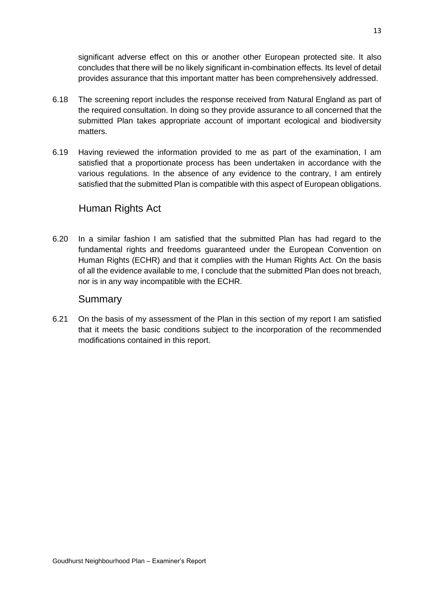significant adverse effect on this or another other European protected site. It also concludes that there will be no likely significant in-combination effects. Its level of detail provides assurance that this important matter has been comprehensively addressed.

- 6.18 The screening report includes the response received from Natural England as part of the required consultation. In doing so they provide assurance to all concerned that the submitted Plan takes appropriate account of important ecological and biodiversity matters.
- 6.19 Having reviewed the information provided to me as part of the examination, I am satisfied that a proportionate process has been undertaken in accordance with the various regulations. In the absence of any evidence to the contrary, I am entirely satisfied that the submitted Plan is compatible with this aspect of European obligations.

# Human Rights Act

6.20 In a similar fashion I am satisfied that the submitted Plan has had regard to the fundamental rights and freedoms guaranteed under the European Convention on Human Rights (ECHR) and that it complies with the Human Rights Act. On the basis of all the evidence available to me, I conclude that the submitted Plan does not breach, nor is in any way incompatible with the ECHR.

### Summary

6.21 On the basis of my assessment of the Plan in this section of my report I am satisfied that it meets the basic conditions subject to the incorporation of the recommended modifications contained in this report.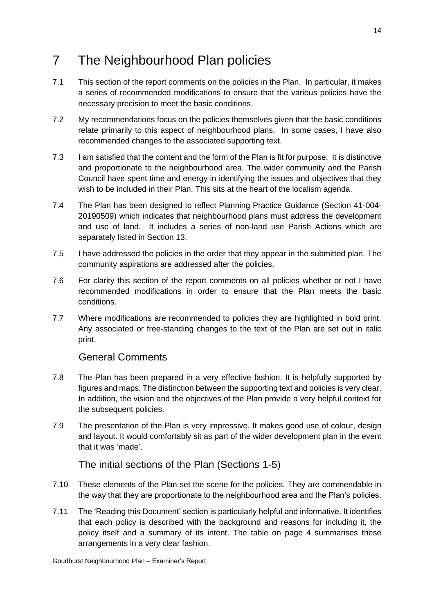# 7 The Neighbourhood Plan policies

- 7.1 This section of the report comments on the policies in the Plan. In particular, it makes a series of recommended modifications to ensure that the various policies have the necessary precision to meet the basic conditions.
- 7.2 My recommendations focus on the policies themselves given that the basic conditions relate primarily to this aspect of neighbourhood plans. In some cases, I have also recommended changes to the associated supporting text.
- 7.3 I am satisfied that the content and the form of the Plan is fit for purpose. It is distinctive and proportionate to the neighbourhood area. The wider community and the Parish Council have spent time and energy in identifying the issues and objectives that they wish to be included in their Plan. This sits at the heart of the localism agenda.
- 7.4 The Plan has been designed to reflect Planning Practice Guidance (Section 41-004- 20190509) which indicates that neighbourhood plans must address the development and use of land. It includes a series of non-land use Parish Actions which are separately listed in Section 13.
- 7.5 I have addressed the policies in the order that they appear in the submitted plan. The community aspirations are addressed after the policies.
- 7.6 For clarity this section of the report comments on all policies whether or not I have recommended modifications in order to ensure that the Plan meets the basic conditions.
- 7.7 Where modifications are recommended to policies they are highlighted in bold print. Any associated or free-standing changes to the text of the Plan are set out in italic print.

# General Comments

- 7.8 The Plan has been prepared in a very effective fashion. It is helpfully supported by figures and maps. The distinction between the supporting text and policies is very clear. In addition, the vision and the objectives of the Plan provide a very helpful context for the subsequent policies.
- 7.9 The presentation of the Plan is very impressive. It makes good use of colour, design and layout. It would comfortably sit as part of the wider development plan in the event that it was 'made'.

The initial sections of the Plan (Sections 1-5)

- 7.10 These elements of the Plan set the scene for the policies. They are commendable in the way that they are proportionate to the neighbourhood area and the Plan's policies.
- 7.11 The 'Reading this Document' section is particularly helpful and informative. It identifies that each policy is described with the background and reasons for including it, the policy itself and a summary of its intent. The table on page 4 summarises these arrangements in a very clear fashion.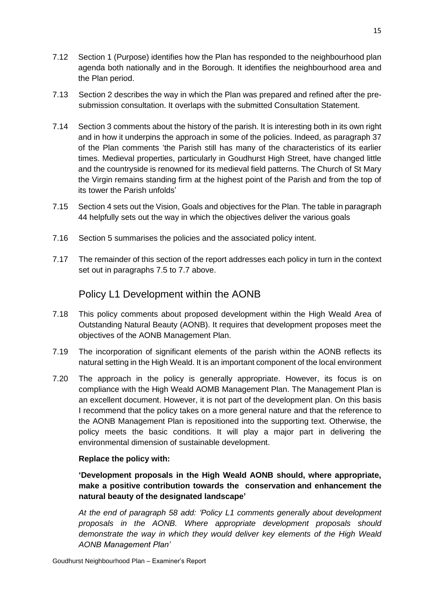- 7.12 Section 1 (Purpose) identifies how the Plan has responded to the neighbourhood plan agenda both nationally and in the Borough. It identifies the neighbourhood area and the Plan period.
- 7.13 Section 2 describes the way in which the Plan was prepared and refined after the presubmission consultation. It overlaps with the submitted Consultation Statement.
- 7.14 Section 3 comments about the history of the parish. It is interesting both in its own right and in how it underpins the approach in some of the policies. Indeed, as paragraph 37 of the Plan comments 'the Parish still has many of the characteristics of its earlier times. Medieval properties, particularly in Goudhurst High Street, have changed little and the countryside is renowned for its medieval field patterns. The Church of St Mary the Virgin remains standing firm at the highest point of the Parish and from the top of its tower the Parish unfolds'
- 7.15 Section 4 sets out the Vision, Goals and objectives for the Plan. The table in paragraph 44 helpfully sets out the way in which the objectives deliver the various goals
- 7.16 Section 5 summarises the policies and the associated policy intent.
- 7.17 The remainder of this section of the report addresses each policy in turn in the context set out in paragraphs 7.5 to 7.7 above.

# Policy L1 Development within the AONB

- 7.18 This policy comments about proposed development within the High Weald Area of Outstanding Natural Beauty (AONB). It requires that development proposes meet the objectives of the AONB Management Plan.
- 7.19 The incorporation of significant elements of the parish within the AONB reflects its natural setting in the High Weald. It is an important component of the local environment
- 7.20 The approach in the policy is generally appropriate. However, its focus is on compliance with the High Weald AOMB Management Plan. The Management Plan is an excellent document. However, it is not part of the development plan. On this basis I recommend that the policy takes on a more general nature and that the reference to the AONB Management Plan is repositioned into the supporting text. Otherwise, the policy meets the basic conditions. It will play a major part in delivering the environmental dimension of sustainable development.

#### **Replace the policy with:**

**'Development proposals in the High Weald AONB should, where appropriate, make a positive contribution towards the conservation and enhancement the natural beauty of the designated landscape'**

*At the end of paragraph 58 add: 'Policy L1 comments generally about development proposals in the AONB. Where appropriate development proposals should demonstrate the way in which they would deliver key elements of the High Weald AONB Management Plan'*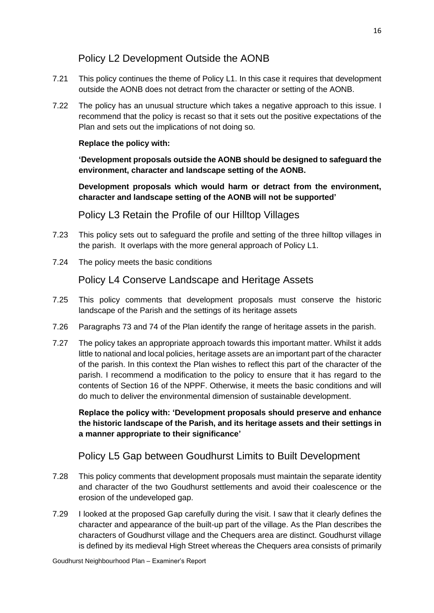# Policy L2 Development Outside the AONB

- 7.21 This policy continues the theme of Policy L1. In this case it requires that development outside the AONB does not detract from the character or setting of the AONB.
- 7.22 The policy has an unusual structure which takes a negative approach to this issue. I recommend that the policy is recast so that it sets out the positive expectations of the Plan and sets out the implications of not doing so.

#### **Replace the policy with:**

**'Development proposals outside the AONB should be designed to safeguard the environment, character and landscape setting of the AONB.** 

**Development proposals which would harm or detract from the environment, character and landscape setting of the AONB will not be supported'**

Policy L3 Retain the Profile of our Hilltop Villages

- 7.23 This policy sets out to safeguard the profile and setting of the three hilltop villages in the parish. It overlaps with the more general approach of Policy L1.
- 7.24 The policy meets the basic conditions

Policy L4 Conserve Landscape and Heritage Assets

- 7.25 This policy comments that development proposals must conserve the historic landscape of the Parish and the settings of its heritage assets
- 7.26 Paragraphs 73 and 74 of the Plan identify the range of heritage assets in the parish.
- 7.27 The policy takes an appropriate approach towards this important matter. Whilst it adds little to national and local policies, heritage assets are an important part of the character of the parish. In this context the Plan wishes to reflect this part of the character of the parish. I recommend a modification to the policy to ensure that it has regard to the contents of Section 16 of the NPPF. Otherwise, it meets the basic conditions and will do much to deliver the environmental dimension of sustainable development.

**Replace the policy with: 'Development proposals should preserve and enhance the historic landscape of the Parish, and its heritage assets and their settings in a manner appropriate to their significance'**

Policy L5 Gap between Goudhurst Limits to Built Development

- 7.28 This policy comments that development proposals must maintain the separate identity and character of the two Goudhurst settlements and avoid their coalescence or the erosion of the undeveloped gap.
- 7.29 I looked at the proposed Gap carefully during the visit. I saw that it clearly defines the character and appearance of the built-up part of the village. As the Plan describes the characters of Goudhurst village and the Chequers area are distinct. Goudhurst village is defined by its medieval High Street whereas the Chequers area consists of primarily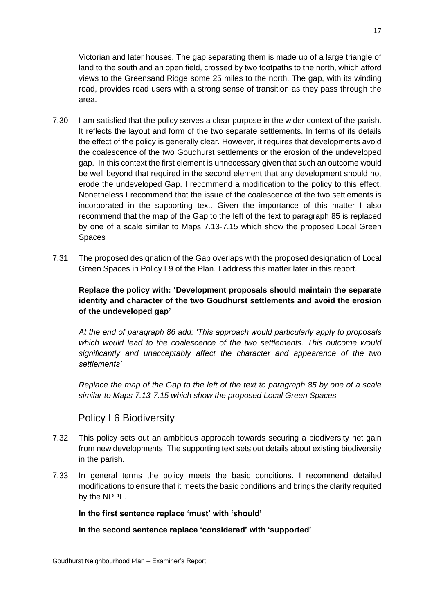Victorian and later houses. The gap separating them is made up of a large triangle of land to the south and an open field, crossed by two footpaths to the north, which afford views to the Greensand Ridge some 25 miles to the north. The gap, with its winding road, provides road users with a strong sense of transition as they pass through the area.

- 7.30 I am satisfied that the policy serves a clear purpose in the wider context of the parish. It reflects the layout and form of the two separate settlements. In terms of its details the effect of the policy is generally clear. However, it requires that developments avoid the coalescence of the two Goudhurst settlements or the erosion of the undeveloped gap. In this context the first element is unnecessary given that such an outcome would be well beyond that required in the second element that any development should not erode the undeveloped Gap. I recommend a modification to the policy to this effect. Nonetheless I recommend that the issue of the coalescence of the two settlements is incorporated in the supporting text. Given the importance of this matter I also recommend that the map of the Gap to the left of the text to paragraph 85 is replaced by one of a scale similar to Maps 7.13-7.15 which show the proposed Local Green Spaces
- 7.31 The proposed designation of the Gap overlaps with the proposed designation of Local Green Spaces in Policy L9 of the Plan. I address this matter later in this report.

#### **Replace the policy with: 'Development proposals should maintain the separate identity and character of the two Goudhurst settlements and avoid the erosion of the undeveloped gap'**

*At the end of paragraph 86 add: 'This approach would particularly apply to proposals which would lead to the coalescence of the two settlements. This outcome would significantly and unacceptably affect the character and appearance of the two settlements'*

*Replace the map of the Gap to the left of the text to paragraph 85 by one of a scale similar to Maps 7.13-7.15 which show the proposed Local Green Spaces*

# Policy L6 Biodiversity

- 7.32 This policy sets out an ambitious approach towards securing a biodiversity net gain from new developments. The supporting text sets out details about existing biodiversity in the parish.
- 7.33 In general terms the policy meets the basic conditions. I recommend detailed modifications to ensure that it meets the basic conditions and brings the clarity requited by the NPPF.

#### **In the first sentence replace 'must' with 'should'**

**In the second sentence replace 'considered' with 'supported'**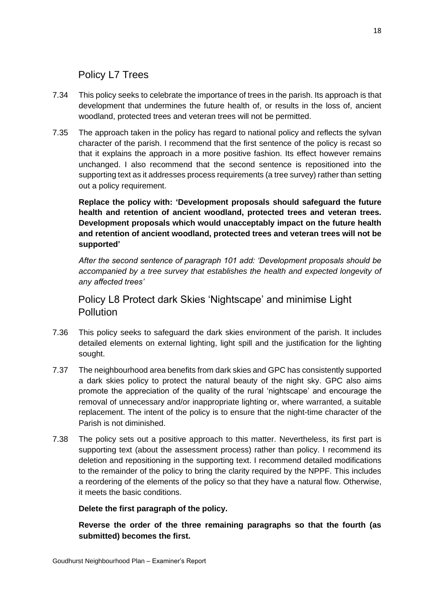# Policy L7 Trees

- 7.34 This policy seeks to celebrate the importance of trees in the parish. Its approach is that development that undermines the future health of, or results in the loss of, ancient woodland, protected trees and veteran trees will not be permitted.
- 7.35 The approach taken in the policy has regard to national policy and reflects the sylvan character of the parish. I recommend that the first sentence of the policy is recast so that it explains the approach in a more positive fashion. Its effect however remains unchanged. I also recommend that the second sentence is repositioned into the supporting text as it addresses process requirements (a tree survey) rather than setting out a policy requirement.

**Replace the policy with: 'Development proposals should safeguard the future health and retention of ancient woodland, protected trees and veteran trees. Development proposals which would unacceptably impact on the future health and retention of ancient woodland, protected trees and veteran trees will not be supported'**

*After the second sentence of paragraph 101 add: 'Development proposals should be accompanied by a tree survey that establishes the health and expected longevity of any affected trees'*

Policy L8 Protect dark Skies 'Nightscape' and minimise Light Pollution

- 7.36 This policy seeks to safeguard the dark skies environment of the parish. It includes detailed elements on external lighting, light spill and the justification for the lighting sought.
- 7.37 The neighbourhood area benefits from dark skies and GPC has consistently supported a dark skies policy to protect the natural beauty of the night sky. GPC also aims promote the appreciation of the quality of the rural 'nightscape' and encourage the removal of unnecessary and/or inappropriate lighting or, where warranted, a suitable replacement. The intent of the policy is to ensure that the night-time character of the Parish is not diminished.
- 7.38 The policy sets out a positive approach to this matter. Nevertheless, its first part is supporting text (about the assessment process) rather than policy. I recommend its deletion and repositioning in the supporting text. I recommend detailed modifications to the remainder of the policy to bring the clarity required by the NPPF. This includes a reordering of the elements of the policy so that they have a natural flow. Otherwise, it meets the basic conditions.

#### **Delete the first paragraph of the policy.**

**Reverse the order of the three remaining paragraphs so that the fourth (as submitted) becomes the first.**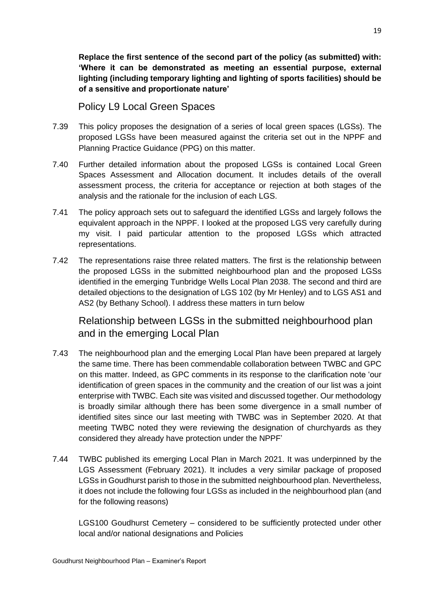**Replace the first sentence of the second part of the policy (as submitted) with: 'Where it can be demonstrated as meeting an essential purpose, external lighting (including temporary lighting and lighting of sports facilities) should be of a sensitive and proportionate nature'** 

Policy L9 Local Green Spaces

- 7.39 This policy proposes the designation of a series of local green spaces (LGSs). The proposed LGSs have been measured against the criteria set out in the NPPF and Planning Practice Guidance (PPG) on this matter.
- 7.40 Further detailed information about the proposed LGSs is contained Local Green Spaces Assessment and Allocation document. It includes details of the overall assessment process, the criteria for acceptance or rejection at both stages of the analysis and the rationale for the inclusion of each LGS.
- 7.41 The policy approach sets out to safeguard the identified LGSs and largely follows the equivalent approach in the NPPF. I looked at the proposed LGS very carefully during my visit. I paid particular attention to the proposed LGSs which attracted representations.
- 7.42 The representations raise three related matters. The first is the relationship between the proposed LGSs in the submitted neighbourhood plan and the proposed LGSs identified in the emerging Tunbridge Wells Local Plan 2038. The second and third are detailed objections to the designation of LGS 102 (by Mr Henley) and to LGS AS1 and AS2 (by Bethany School). I address these matters in turn below

Relationship between LGSs in the submitted neighbourhood plan and in the emerging Local Plan

- 7.43 The neighbourhood plan and the emerging Local Plan have been prepared at largely the same time. There has been commendable collaboration between TWBC and GPC on this matter. Indeed, as GPC comments in its response to the clarification note 'our identification of green spaces in the community and the creation of our list was a joint enterprise with TWBC. Each site was visited and discussed together. Our methodology is broadly similar although there has been some divergence in a small number of identified sites since our last meeting with TWBC was in September 2020. At that meeting TWBC noted they were reviewing the designation of churchyards as they considered they already have protection under the NPPF'
- 7.44 TWBC published its emerging Local Plan in March 2021. It was underpinned by the LGS Assessment (February 2021). It includes a very similar package of proposed LGSs in Goudhurst parish to those in the submitted neighbourhood plan. Nevertheless, it does not include the following four LGSs as included in the neighbourhood plan (and for the following reasons)

LGS100 Goudhurst Cemetery – considered to be sufficiently protected under other local and/or national designations and Policies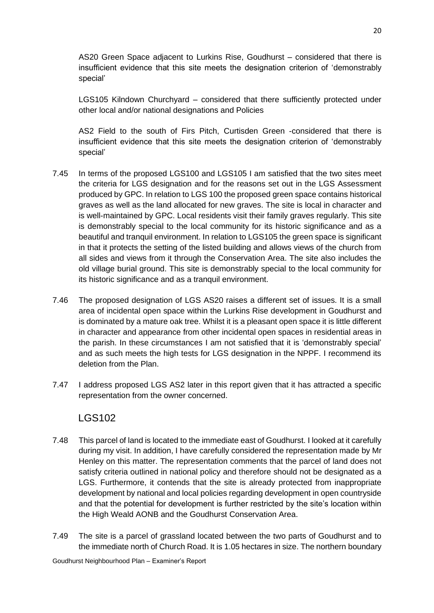AS20 Green Space adjacent to Lurkins Rise, Goudhurst – considered that there is insufficient evidence that this site meets the designation criterion of 'demonstrably special'

LGS105 Kilndown Churchyard – considered that there sufficiently protected under other local and/or national designations and Policies

AS2 Field to the south of Firs Pitch, Curtisden Green -considered that there is insufficient evidence that this site meets the designation criterion of 'demonstrably special'

- 7.45 In terms of the proposed LGS100 and LGS105 I am satisfied that the two sites meet the criteria for LGS designation and for the reasons set out in the LGS Assessment produced by GPC. In relation to LGS 100 the proposed green space contains historical graves as well as the land allocated for new graves. The site is local in character and is well-maintained by GPC. Local residents visit their family graves regularly. This site is demonstrably special to the local community for its historic significance and as a beautiful and tranquil environment. In relation to LGS105 the green space is significant in that it protects the setting of the listed building and allows views of the church from all sides and views from it through the Conservation Area. The site also includes the old village burial ground. This site is demonstrably special to the local community for its historic significance and as a tranquil environment.
- 7.46 The proposed designation of LGS AS20 raises a different set of issues. It is a small area of incidental open space within the Lurkins Rise development in Goudhurst and is dominated by a mature oak tree. Whilst it is a pleasant open space it is little different in character and appearance from other incidental open spaces in residential areas in the parish. In these circumstances I am not satisfied that it is 'demonstrably special' and as such meets the high tests for LGS designation in the NPPF. I recommend its deletion from the Plan.
- 7.47 I address proposed LGS AS2 later in this report given that it has attracted a specific representation from the owner concerned.

# LGS102

- 7.48 This parcel of land is located to the immediate east of Goudhurst. I looked at it carefully during my visit. In addition, I have carefully considered the representation made by Mr Henley on this matter. The representation comments that the parcel of land does not satisfy criteria outlined in national policy and therefore should not be designated as a LGS. Furthermore, it contends that the site is already protected from inappropriate development by national and local policies regarding development in open countryside and that the potential for development is further restricted by the site's location within the High Weald AONB and the Goudhurst Conservation Area.
- 7.49 The site is a parcel of grassland located between the two parts of Goudhurst and to the immediate north of Church Road. It is 1.05 hectares in size. The northern boundary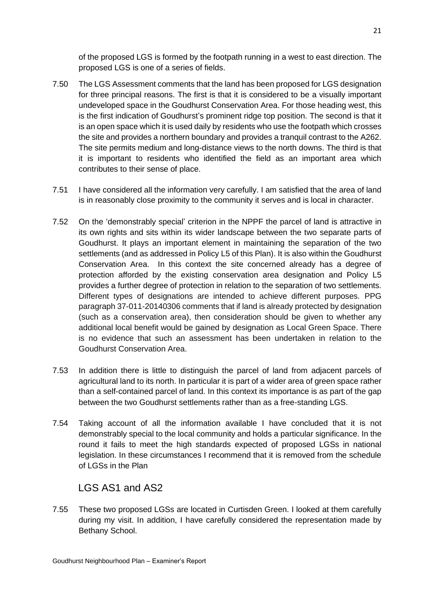of the proposed LGS is formed by the footpath running in a west to east direction. The proposed LGS is one of a series of fields.

- 7.50 The LGS Assessment comments that the land has been proposed for LGS designation for three principal reasons. The first is that it is considered to be a visually important undeveloped space in the Goudhurst Conservation Area. For those heading west, this is the first indication of Goudhurst's prominent ridge top position. The second is that it is an open space which it is used daily by residents who use the footpath which crosses the site and provides a northern boundary and provides a tranquil contrast to the A262. The site permits medium and long-distance views to the north downs. The third is that it is important to residents who identified the field as an important area which contributes to their sense of place.
- 7.51 I have considered all the information very carefully. I am satisfied that the area of land is in reasonably close proximity to the community it serves and is local in character.
- 7.52 On the 'demonstrably special' criterion in the NPPF the parcel of land is attractive in its own rights and sits within its wider landscape between the two separate parts of Goudhurst. It plays an important element in maintaining the separation of the two settlements (and as addressed in Policy L5 of this Plan). It is also within the Goudhurst Conservation Area. In this context the site concerned already has a degree of protection afforded by the existing conservation area designation and Policy L5 provides a further degree of protection in relation to the separation of two settlements. Different types of designations are intended to achieve different purposes. PPG paragraph 37-011-20140306 comments that if land is already protected by designation (such as a conservation area), then consideration should be given to whether any additional local benefit would be gained by designation as Local Green Space. There is no evidence that such an assessment has been undertaken in relation to the Goudhurst Conservation Area.
- 7.53 In addition there is little to distinguish the parcel of land from adjacent parcels of agricultural land to its north. In particular it is part of a wider area of green space rather than a self-contained parcel of land. In this context its importance is as part of the gap between the two Goudhurst settlements rather than as a free-standing LGS.
- 7.54 Taking account of all the information available I have concluded that it is not demonstrably special to the local community and holds a particular significance. In the round it fails to meet the high standards expected of proposed LGSs in national legislation. In these circumstances I recommend that it is removed from the schedule of LGSs in the Plan

# LGS AS1 and AS2

7.55 These two proposed LGSs are located in Curtisden Green. I looked at them carefully during my visit. In addition, I have carefully considered the representation made by Bethany School.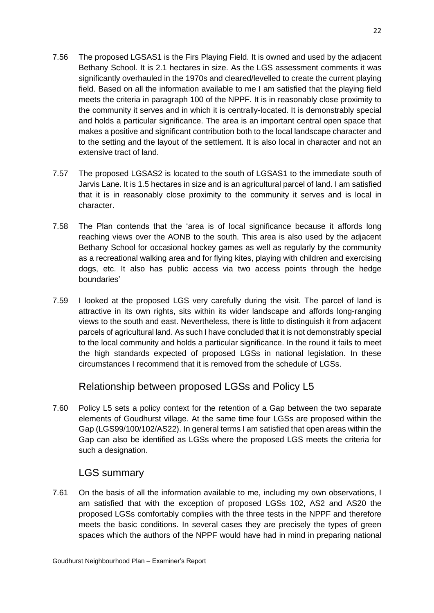- 7.56 The proposed LGSAS1 is the Firs Playing Field. It is owned and used by the adjacent Bethany School. It is 2.1 hectares in size. As the LGS assessment comments it was significantly overhauled in the 1970s and cleared/levelled to create the current playing field. Based on all the information available to me I am satisfied that the playing field meets the criteria in paragraph 100 of the NPPF. It is in reasonably close proximity to the community it serves and in which it is centrally-located. It is demonstrably special and holds a particular significance. The area is an important central open space that makes a positive and significant contribution both to the local landscape character and to the setting and the layout of the settlement. It is also local in character and not an extensive tract of land.
- 7.57 The proposed LGSAS2 is located to the south of LGSAS1 to the immediate south of Jarvis Lane. It is 1.5 hectares in size and is an agricultural parcel of land. I am satisfied that it is in reasonably close proximity to the community it serves and is local in character.
- 7.58 The Plan contends that the 'area is of local significance because it affords long reaching views over the AONB to the south. This area is also used by the adjacent Bethany School for occasional hockey games as well as regularly by the community as a recreational walking area and for flying kites, playing with children and exercising dogs, etc. It also has public access via two access points through the hedge boundaries'
- 7.59 I looked at the proposed LGS very carefully during the visit. The parcel of land is attractive in its own rights, sits within its wider landscape and affords long-ranging views to the south and east. Nevertheless, there is little to distinguish it from adjacent parcels of agricultural land. As such I have concluded that it is not demonstrably special to the local community and holds a particular significance. In the round it fails to meet the high standards expected of proposed LGSs in national legislation. In these circumstances I recommend that it is removed from the schedule of LGSs.

Relationship between proposed LGSs and Policy L5

7.60 Policy L5 sets a policy context for the retention of a Gap between the two separate elements of Goudhurst village. At the same time four LGSs are proposed within the Gap (LGS99/100/102/AS22). In general terms I am satisfied that open areas within the Gap can also be identified as LGSs where the proposed LGS meets the criteria for such a designation.

# LGS summary

7.61 On the basis of all the information available to me, including my own observations, I am satisfied that with the exception of proposed LGSs 102, AS2 and AS20 the proposed LGSs comfortably complies with the three tests in the NPPF and therefore meets the basic conditions. In several cases they are precisely the types of green spaces which the authors of the NPPF would have had in mind in preparing national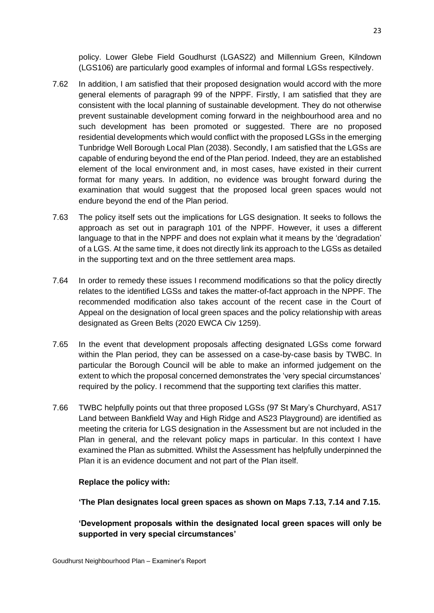policy. Lower Glebe Field Goudhurst (LGAS22) and Millennium Green, Kilndown (LGS106) are particularly good examples of informal and formal LGSs respectively.

- 7.62 In addition, I am satisfied that their proposed designation would accord with the more general elements of paragraph 99 of the NPPF. Firstly, I am satisfied that they are consistent with the local planning of sustainable development. They do not otherwise prevent sustainable development coming forward in the neighbourhood area and no such development has been promoted or suggested. There are no proposed residential developments which would conflict with the proposed LGSs in the emerging Tunbridge Well Borough Local Plan (2038). Secondly, I am satisfied that the LGSs are capable of enduring beyond the end of the Plan period. Indeed, they are an established element of the local environment and, in most cases, have existed in their current format for many years. In addition, no evidence was brought forward during the examination that would suggest that the proposed local green spaces would not endure beyond the end of the Plan period.
- 7.63 The policy itself sets out the implications for LGS designation. It seeks to follows the approach as set out in paragraph 101 of the NPPF. However, it uses a different language to that in the NPPF and does not explain what it means by the 'degradation' of a LGS. At the same time, it does not directly link its approach to the LGSs as detailed in the supporting text and on the three settlement area maps.
- 7.64 In order to remedy these issues I recommend modifications so that the policy directly relates to the identified LGSs and takes the matter-of-fact approach in the NPPF. The recommended modification also takes account of the recent case in the Court of Appeal on the designation of local green spaces and the policy relationship with areas designated as Green Belts (2020 EWCA Civ 1259).
- 7.65 In the event that development proposals affecting designated LGSs come forward within the Plan period, they can be assessed on a case-by-case basis by TWBC. In particular the Borough Council will be able to make an informed judgement on the extent to which the proposal concerned demonstrates the 'very special circumstances' required by the policy. I recommend that the supporting text clarifies this matter.
- 7.66 TWBC helpfully points out that three proposed LGSs (97 St Mary's Churchyard, AS17 Land between Bankfield Way and High Ridge and AS23 Playground) are identified as meeting the criteria for LGS designation in the Assessment but are not included in the Plan in general, and the relevant policy maps in particular. In this context I have examined the Plan as submitted. Whilst the Assessment has helpfully underpinned the Plan it is an evidence document and not part of the Plan itself.

#### **Replace the policy with:**

**'The Plan designates local green spaces as shown on Maps 7.13, 7.14 and 7.15.** 

**'Development proposals within the designated local green spaces will only be supported in very special circumstances'**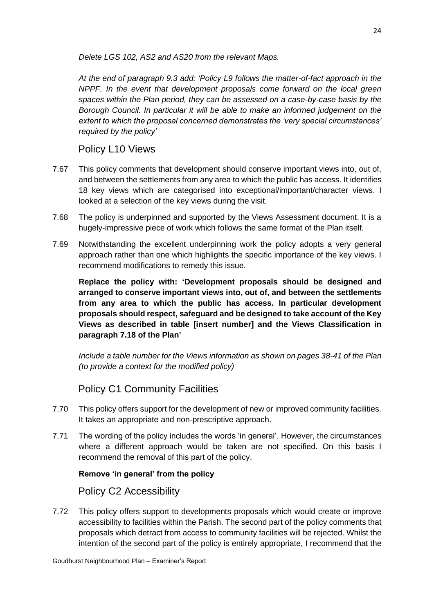*Delete LGS 102, AS2 and AS20 from the relevant Maps.*

*At the end of paragraph 9.3 add: 'Policy L9 follows the matter-of-fact approach in the NPPF. In the event that development proposals come forward on the local green spaces within the Plan period, they can be assessed on a case-by-case basis by the Borough Council. In particular it will be able to make an informed judgement on the extent to which the proposal concerned demonstrates the 'very special circumstances' required by the policy'*

# Policy L10 Views

- 7.67 This policy comments that development should conserve important views into, out of, and between the settlements from any area to which the public has access. It identifies 18 key views which are categorised into exceptional/important/character views. I looked at a selection of the key views during the visit.
- 7.68 The policy is underpinned and supported by the Views Assessment document. It is a hugely-impressive piece of work which follows the same format of the Plan itself.
- 7.69 Notwithstanding the excellent underpinning work the policy adopts a very general approach rather than one which highlights the specific importance of the key views. I recommend modifications to remedy this issue.

**Replace the policy with: 'Development proposals should be designed and arranged to conserve important views into, out of, and between the settlements from any area to which the public has access. In particular development proposals should respect, safeguard and be designed to take account of the Key Views as described in table [insert number] and the Views Classification in paragraph 7.18 of the Plan'**

*Include a table number for the Views information as shown on pages 38-41 of the Plan (to provide a context for the modified policy)*

# Policy C1 Community Facilities

- 7.70 This policy offers support for the development of new or improved community facilities. It takes an appropriate and non-prescriptive approach.
- 7.71 The wording of the policy includes the words 'in general'. However, the circumstances where a different approach would be taken are not specified. On this basis I recommend the removal of this part of the policy.

#### **Remove 'in general' from the policy**

# Policy C2 Accessibility

7.72 This policy offers support to developments proposals which would create or improve accessibility to facilities within the Parish. The second part of the policy comments that proposals which detract from access to community facilities will be rejected. Whilst the intention of the second part of the policy is entirely appropriate, I recommend that the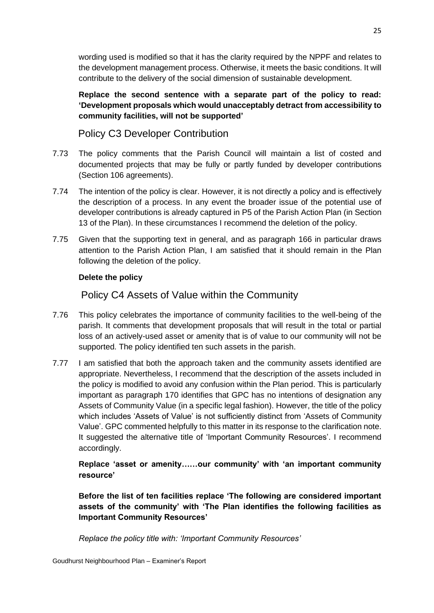wording used is modified so that it has the clarity required by the NPPF and relates to the development management process. Otherwise, it meets the basic conditions. It will contribute to the delivery of the social dimension of sustainable development.

**Replace the second sentence with a separate part of the policy to read: 'Development proposals which would unacceptably detract from accessibility to community facilities, will not be supported'**

Policy C3 Developer Contribution

- 7.73 The policy comments that the Parish Council will maintain a list of costed and documented projects that may be fully or partly funded by developer contributions (Section 106 agreements).
- 7.74 The intention of the policy is clear. However, it is not directly a policy and is effectively the description of a process. In any event the broader issue of the potential use of developer contributions is already captured in P5 of the Parish Action Plan (in Section 13 of the Plan). In these circumstances I recommend the deletion of the policy.
- 7.75 Given that the supporting text in general, and as paragraph 166 in particular draws attention to the Parish Action Plan, I am satisfied that it should remain in the Plan following the deletion of the policy.

#### **Delete the policy**

Policy C4 Assets of Value within the Community

- 7.76 This policy celebrates the importance of community facilities to the well-being of the parish. It comments that development proposals that will result in the total or partial loss of an actively-used asset or amenity that is of value to our community will not be supported. The policy identified ten such assets in the parish.
- 7.77 I am satisfied that both the approach taken and the community assets identified are appropriate. Nevertheless, I recommend that the description of the assets included in the policy is modified to avoid any confusion within the Plan period. This is particularly important as paragraph 170 identifies that GPC has no intentions of designation any Assets of Community Value (in a specific legal fashion). However, the title of the policy which includes 'Assets of Value' is not sufficiently distinct from 'Assets of Community Value'. GPC commented helpfully to this matter in its response to the clarification note. It suggested the alternative title of 'Important Community Resources'. I recommend accordingly.

**Replace 'asset or amenity……our community' with 'an important community resource'**

**Before the list of ten facilities replace 'The following are considered important assets of the community' with 'The Plan identifies the following facilities as Important Community Resources'**

*Replace the policy title with: 'Important Community Resources'*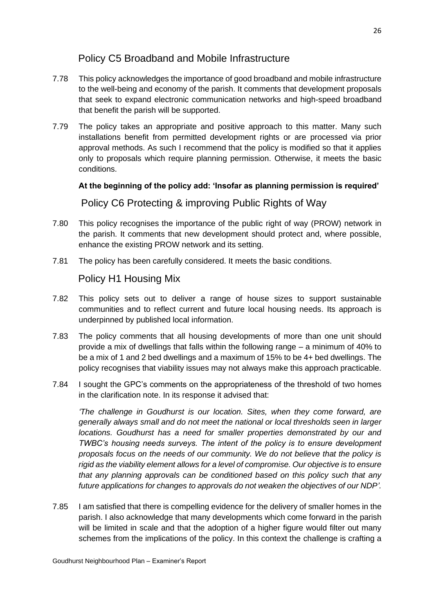# Policy C5 Broadband and Mobile Infrastructure

- 7.78 This policy acknowledges the importance of good broadband and mobile infrastructure to the well-being and economy of the parish. It comments that development proposals that seek to expand electronic communication networks and high-speed broadband that benefit the parish will be supported.
- 7.79 The policy takes an appropriate and positive approach to this matter. Many such installations benefit from permitted development rights or are processed via prior approval methods. As such I recommend that the policy is modified so that it applies only to proposals which require planning permission. Otherwise, it meets the basic conditions.

#### **At the beginning of the policy add: 'Insofar as planning permission is required'**

# Policy C6 Protecting & improving Public Rights of Way

- 7.80 This policy recognises the importance of the public right of way (PROW) network in the parish. It comments that new development should protect and, where possible, enhance the existing PROW network and its setting.
- 7.81 The policy has been carefully considered. It meets the basic conditions.

# Policy H1 Housing Mix

- 7.82 This policy sets out to deliver a range of house sizes to support sustainable communities and to reflect current and future local housing needs. Its approach is underpinned by published local information.
- 7.83 The policy comments that all housing developments of more than one unit should provide a mix of dwellings that falls within the following range – a minimum of 40% to be a mix of 1 and 2 bed dwellings and a maximum of 15% to be 4+ bed dwellings. The policy recognises that viability issues may not always make this approach practicable.
- 7.84 I sought the GPC's comments on the appropriateness of the threshold of two homes in the clarification note. In its response it advised that:

*'The challenge in Goudhurst is our location. Sites, when they come forward, are generally always small and do not meet the national or local thresholds seen in larger locations. Goudhurst has a need for smaller properties demonstrated by our and TWBC's housing needs surveys. The intent of the policy is to ensure development proposals focus on the needs of our community. We do not believe that the policy is rigid as the viability element allows for a level of compromise. Our objective is to ensure that any planning approvals can be conditioned based on this policy such that any future applications for changes to approvals do not weaken the objectives of our NDP'.* 

7.85 I am satisfied that there is compelling evidence for the delivery of smaller homes in the parish. I also acknowledge that many developments which come forward in the parish will be limited in scale and that the adoption of a higher figure would filter out many schemes from the implications of the policy. In this context the challenge is crafting a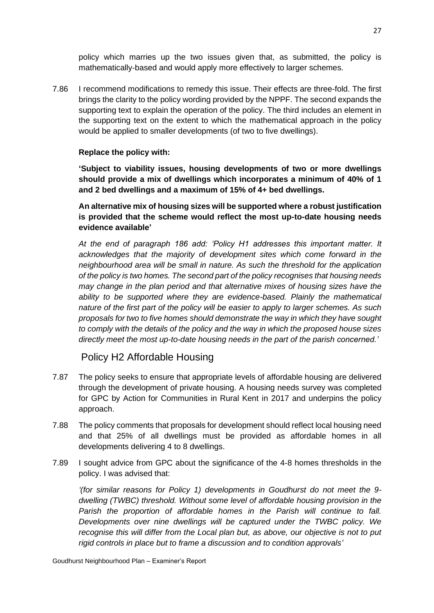policy which marries up the two issues given that, as submitted, the policy is mathematically-based and would apply more effectively to larger schemes.

7.86 I recommend modifications to remedy this issue. Their effects are three-fold. The first brings the clarity to the policy wording provided by the NPPF. The second expands the supporting text to explain the operation of the policy. The third includes an element in the supporting text on the extent to which the mathematical approach in the policy would be applied to smaller developments (of two to five dwellings).

#### **Replace the policy with:**

**'Subject to viability issues, housing developments of two or more dwellings should provide a mix of dwellings which incorporates a minimum of 40% of 1 and 2 bed dwellings and a maximum of 15% of 4+ bed dwellings.**

**An alternative mix of housing sizes will be supported where a robust justification is provided that the scheme would reflect the most up-to-date housing needs evidence available'**

*At the end of paragraph 186 add: 'Policy H1 addresses this important matter. It acknowledges that the majority of development sites which come forward in the neighbourhood area will be small in nature. As such the threshold for the application of the policy is two homes. The second part of the policy recognises that housing needs may change in the plan period and that alternative mixes of housing sizes have the ability to be supported where they are evidence-based. Plainly the mathematical nature of the first part of the policy will be easier to apply to larger schemes. As such proposals for two to five homes should demonstrate the way in which they have sought to comply with the details of the policy and the way in which the proposed house sizes directly meet the most up-to-date housing needs in the part of the parish concerned.'* 

#### Policy H2 Affordable Housing

- 7.87 The policy seeks to ensure that appropriate levels of affordable housing are delivered through the development of private housing. A housing needs survey was completed for GPC by Action for Communities in Rural Kent in 2017 and underpins the policy approach.
- 7.88 The policy comments that proposals for development should reflect local housing need and that 25% of all dwellings must be provided as affordable homes in all developments delivering 4 to 8 dwellings.
- 7.89 I sought advice from GPC about the significance of the 4-8 homes thresholds in the policy. I was advised that:

*'(for similar reasons for Policy 1) developments in Goudhurst do not meet the 9 dwelling (TWBC) threshold. Without some level of affordable housing provision in the Parish the proportion of affordable homes in the Parish will continue to fall. Developments over nine dwellings will be captured under the TWBC policy. We recognise this will differ from the Local plan but, as above, our objective is not to put rigid controls in place but to frame a discussion and to condition approvals'*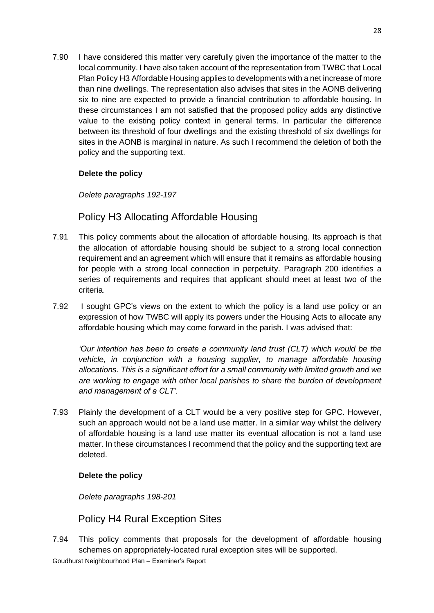7.90 I have considered this matter very carefully given the importance of the matter to the local community. I have also taken account of the representation from TWBC that Local Plan Policy H3 Affordable Housing applies to developments with a net increase of more than nine dwellings. The representation also advises that sites in the AONB delivering six to nine are expected to provide a financial contribution to affordable housing. In these circumstances I am not satisfied that the proposed policy adds any distinctive value to the existing policy context in general terms. In particular the difference between its threshold of four dwellings and the existing threshold of six dwellings for sites in the AONB is marginal in nature. As such I recommend the deletion of both the policy and the supporting text.

#### **Delete the policy**

*Delete paragraphs 192-197*

# Policy H3 Allocating Affordable Housing

- 7.91 This policy comments about the allocation of affordable housing. Its approach is that the allocation of affordable housing should be subject to a strong local connection requirement and an agreement which will ensure that it remains as affordable housing for people with a strong local connection in perpetuity. Paragraph 200 identifies a series of requirements and requires that applicant should meet at least two of the criteria.
- 7.92 I sought GPC's views on the extent to which the policy is a land use policy or an expression of how TWBC will apply its powers under the Housing Acts to allocate any affordable housing which may come forward in the parish. I was advised that:

*'Our intention has been to create a community land trust (CLT) which would be the vehicle, in conjunction with a housing supplier, to manage affordable housing allocations. This is a significant effort for a small community with limited growth and we are working to engage with other local parishes to share the burden of development and management of a CLT'.*

7.93 Plainly the development of a CLT would be a very positive step for GPC. However, such an approach would not be a land use matter. In a similar way whilst the delivery of affordable housing is a land use matter its eventual allocation is not a land use matter. In these circumstances I recommend that the policy and the supporting text are deleted.

#### **Delete the policy**

*Delete paragraphs 198-201*

# Policy H4 Rural Exception Sites

7.94 This policy comments that proposals for the development of affordable housing schemes on appropriately-located rural exception sites will be supported.

Goudhurst Neighbourhood Plan – Examiner's Report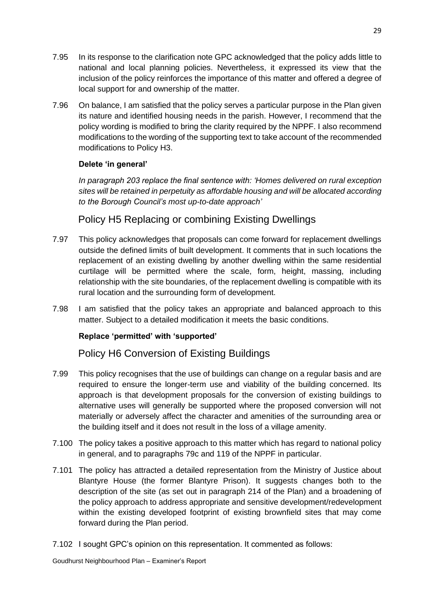- 7.95 In its response to the clarification note GPC acknowledged that the policy adds little to national and local planning policies. Nevertheless, it expressed its view that the inclusion of the policy reinforces the importance of this matter and offered a degree of local support for and ownership of the matter.
- 7.96 On balance, I am satisfied that the policy serves a particular purpose in the Plan given its nature and identified housing needs in the parish. However, I recommend that the policy wording is modified to bring the clarity required by the NPPF. I also recommend modifications to the wording of the supporting text to take account of the recommended modifications to Policy H3.

#### **Delete 'in general'**

*In paragraph 203 replace the final sentence with: 'Homes delivered on rural exception sites will be retained in perpetuity as affordable housing and will be allocated according to the Borough Council's most up-to-date approach'*

Policy H5 Replacing or combining Existing Dwellings

- 7.97 This policy acknowledges that proposals can come forward for replacement dwellings outside the defined limits of built development. It comments that in such locations the replacement of an existing dwelling by another dwelling within the same residential curtilage will be permitted where the scale, form, height, massing, including relationship with the site boundaries, of the replacement dwelling is compatible with its rural location and the surrounding form of development.
- 7.98 I am satisfied that the policy takes an appropriate and balanced approach to this matter. Subject to a detailed modification it meets the basic conditions.

#### **Replace 'permitted' with 'supported'**

# Policy H6 Conversion of Existing Buildings

- 7.99 This policy recognises that the use of buildings can change on a regular basis and are required to ensure the longer-term use and viability of the building concerned. Its approach is that development proposals for the conversion of existing buildings to alternative uses will generally be supported where the proposed conversion will not materially or adversely affect the character and amenities of the surrounding area or the building itself and it does not result in the loss of a village amenity.
- 7.100 The policy takes a positive approach to this matter which has regard to national policy in general, and to paragraphs 79c and 119 of the NPPF in particular.
- 7.101 The policy has attracted a detailed representation from the Ministry of Justice about Blantyre House (the former Blantyre Prison). It suggests changes both to the description of the site (as set out in paragraph 214 of the Plan) and a broadening of the policy approach to address appropriate and sensitive development/redevelopment within the existing developed footprint of existing brownfield sites that may come forward during the Plan period.
- 7.102 I sought GPC's opinion on this representation. It commented as follows: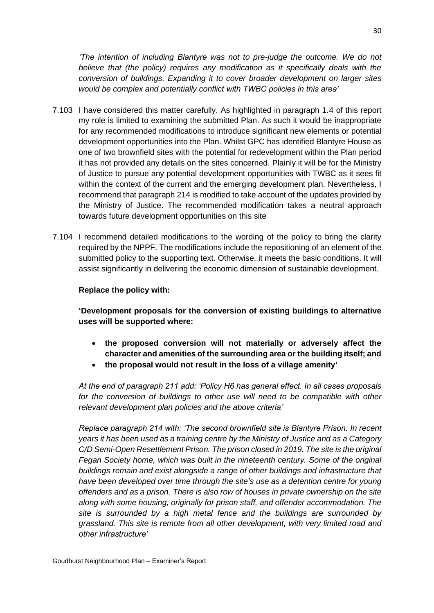*'The intention of including Blantyre was not to pre-judge the outcome. We do not believe that (the policy) requires any modification as it specifically deals with the conversion of buildings. Expanding it to cover broader development on larger sites would be complex and potentially conflict with TWBC policies in this area'*

- 7.103 I have considered this matter carefully. As highlighted in paragraph 1.4 of this report my role is limited to examining the submitted Plan. As such it would be inappropriate for any recommended modifications to introduce significant new elements or potential development opportunities into the Plan. Whilst GPC has identified Blantyre House as one of two brownfield sites with the potential for redevelopment within the Plan period it has not provided any details on the sites concerned. Plainly it will be for the Ministry of Justice to pursue any potential development opportunities with TWBC as it sees fit within the context of the current and the emerging development plan. Nevertheless, I recommend that paragraph 214 is modified to take account of the updates provided by the Ministry of Justice. The recommended modification takes a neutral approach towards future development opportunities on this site
- 7.104 I recommend detailed modifications to the wording of the policy to bring the clarity required by the NPPF. The modifications include the repositioning of an element of the submitted policy to the supporting text. Otherwise, it meets the basic conditions. It will assist significantly in delivering the economic dimension of sustainable development.

#### **Replace the policy with:**

**'Development proposals for the conversion of existing buildings to alternative uses will be supported where:** 

- **the proposed conversion will not materially or adversely affect the character and amenities of the surrounding area or the building itself; and**
- **the proposal would not result in the loss of a village amenity'**

*At the end of paragraph 211 add: 'Policy H6 has general effect. In all cases proposals for the conversion of buildings to other use will need to be compatible with other relevant development plan policies and the above criteria'*

*Replace paragraph 214 with: 'The second brownfield site is Blantyre Prison. In recent years it has been used as a training centre by the Ministry of Justice and as a Category C*/D Semi-Open Resettlement Prison. The prison closed in 2019. The site is the original *Fegan Society home, which was built in the nineteenth century. Some of the original buildings remain and exist alongside a range of other buildings and infrastructure that have been developed over time through the site's use as a detention centre for young offenders and as a prison. There is also row of houses in private ownership on the site along with some housing, originally for prison staff, and offender accommodation. The site is surrounded by a high metal fence and the buildings are surrounded by grassland. This site is remote from all other development, with very limited road and other infrastructure'*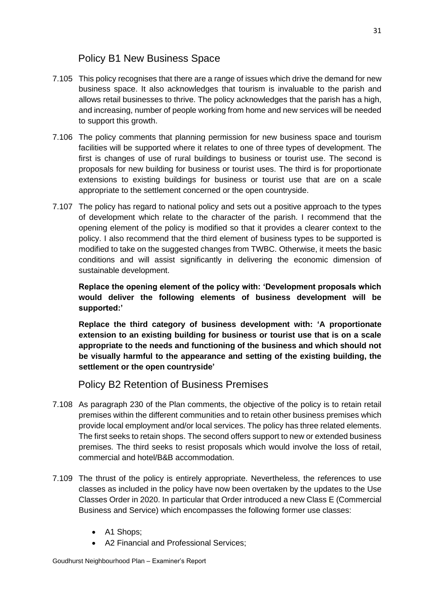# Policy B1 New Business Space

- 7.105 This policy recognises that there are a range of issues which drive the demand for new business space. It also acknowledges that tourism is invaluable to the parish and allows retail businesses to thrive. The policy acknowledges that the parish has a high, and increasing, number of people working from home and new services will be needed to support this growth.
- 7.106 The policy comments that planning permission for new business space and tourism facilities will be supported where it relates to one of three types of development. The first is changes of use of rural buildings to business or tourist use. The second is proposals for new building for business or tourist uses. The third is for proportionate extensions to existing buildings for business or tourist use that are on a scale appropriate to the settlement concerned or the open countryside.
- 7.107 The policy has regard to national policy and sets out a positive approach to the types of development which relate to the character of the parish. I recommend that the opening element of the policy is modified so that it provides a clearer context to the policy. I also recommend that the third element of business types to be supported is modified to take on the suggested changes from TWBC. Otherwise, it meets the basic conditions and will assist significantly in delivering the economic dimension of sustainable development.

**Replace the opening element of the policy with: 'Development proposals which would deliver the following elements of business development will be supported:'**

**Replace the third category of business development with: 'A proportionate extension to an existing building for business or tourist use that is on a scale appropriate to the needs and functioning of the business and which should not be visually harmful to the appearance and setting of the existing building, the settlement or the open countryside'**

Policy B2 Retention of Business Premises

- 7.108 As paragraph 230 of the Plan comments, the objective of the policy is to retain retail premises within the different communities and to retain other business premises which provide local employment and/or local services. The policy has three related elements. The first seeks to retain shops. The second offers support to new or extended business premises. The third seeks to resist proposals which would involve the loss of retail, commercial and hotel/B&B accommodation.
- 7.109 The thrust of the policy is entirely appropriate. Nevertheless, the references to use classes as included in the policy have now been overtaken by the updates to the Use Classes Order in 2020. In particular that Order introduced a new Class E (Commercial Business and Service) which encompasses the following former use classes:
	- A1 Shops;
	- A2 Financial and Professional Services;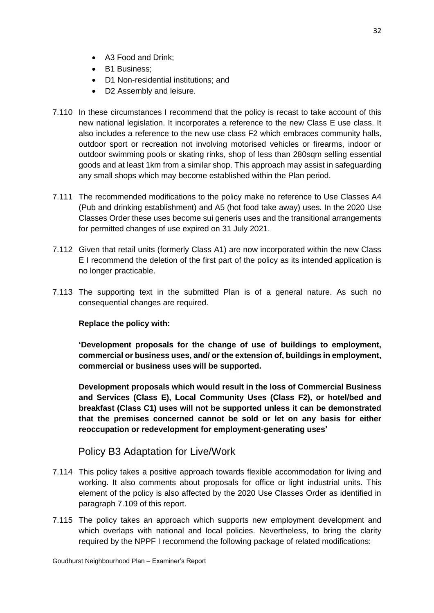- A3 Food and Drink;
- B1 Business;
- D1 Non-residential institutions; and
- D2 Assembly and leisure.
- 7.110 In these circumstances I recommend that the policy is recast to take account of this new national legislation. It incorporates a reference to the new Class E use class. It also includes a reference to the new use class F2 which embraces community halls, outdoor sport or recreation not involving motorised vehicles or firearms, indoor or outdoor swimming pools or skating rinks, shop of less than 280sqm selling essential goods and at least 1km from a similar shop. This approach may assist in safeguarding any small shops which may become established within the Plan period.
- 7.111 The recommended modifications to the policy make no reference to Use Classes A4 (Pub and drinking establishment) and A5 (hot food take away) uses. In the 2020 Use Classes Order these uses become sui generis uses and the transitional arrangements for permitted changes of use expired on 31 July 2021.
- 7.112 Given that retail units (formerly Class A1) are now incorporated within the new Class E I recommend the deletion of the first part of the policy as its intended application is no longer practicable.
- 7.113 The supporting text in the submitted Plan is of a general nature. As such no consequential changes are required.

#### **Replace the policy with:**

**'Development proposals for the change of use of buildings to employment, commercial or business uses, and/ or the extension of, buildings in employment, commercial or business uses will be supported.** 

**Development proposals which would result in the loss of Commercial Business and Services (Class E), Local Community Uses (Class F2), or hotel/bed and breakfast (Class C1) uses will not be supported unless it can be demonstrated that the premises concerned cannot be sold or let on any basis for either reoccupation or redevelopment for employment-generating uses'**

#### Policy B3 Adaptation for Live/Work

- 7.114 This policy takes a positive approach towards flexible accommodation for living and working. It also comments about proposals for office or light industrial units. This element of the policy is also affected by the 2020 Use Classes Order as identified in paragraph 7.109 of this report.
- 7.115 The policy takes an approach which supports new employment development and which overlaps with national and local policies. Nevertheless, to bring the clarity required by the NPPF I recommend the following package of related modifications: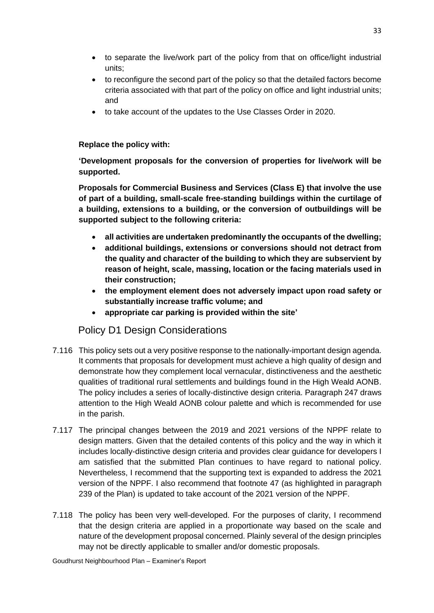- to separate the live/work part of the policy from that on office/light industrial units;
- to reconfigure the second part of the policy so that the detailed factors become criteria associated with that part of the policy on office and light industrial units; and
- to take account of the updates to the Use Classes Order in 2020.

#### **Replace the policy with:**

**'Development proposals for the conversion of properties for live/work will be supported.**

**Proposals for Commercial Business and Services (Class E) that involve the use of part of a building, small-scale free-standing buildings within the curtilage of a building, extensions to a building, or the conversion of outbuildings will be supported subject to the following criteria:**

- **all activities are undertaken predominantly the occupants of the dwelling;**
- **additional buildings, extensions or conversions should not detract from the quality and character of the building to which they are subservient by reason of height, scale, massing, location or the facing materials used in their construction;**
- **the employment element does not adversely impact upon road safety or substantially increase traffic volume; and**
- **appropriate car parking is provided within the site'**

# Policy D1 Design Considerations

- 7.116 This policy sets out a very positive response to the nationally-important design agenda. It comments that proposals for development must achieve a high quality of design and demonstrate how they complement local vernacular, distinctiveness and the aesthetic qualities of traditional rural settlements and buildings found in the High Weald AONB. The policy includes a series of locally-distinctive design criteria. Paragraph 247 draws attention to the High Weald AONB colour palette and which is recommended for use in the parish.
- 7.117 The principal changes between the 2019 and 2021 versions of the NPPF relate to design matters. Given that the detailed contents of this policy and the way in which it includes locally-distinctive design criteria and provides clear guidance for developers I am satisfied that the submitted Plan continues to have regard to national policy. Nevertheless, I recommend that the supporting text is expanded to address the 2021 version of the NPPF. I also recommend that footnote 47 (as highlighted in paragraph 239 of the Plan) is updated to take account of the 2021 version of the NPPF.
- 7.118 The policy has been very well-developed. For the purposes of clarity, I recommend that the design criteria are applied in a proportionate way based on the scale and nature of the development proposal concerned. Plainly several of the design principles may not be directly applicable to smaller and/or domestic proposals.

Goudhurst Neighbourhood Plan – Examiner's Report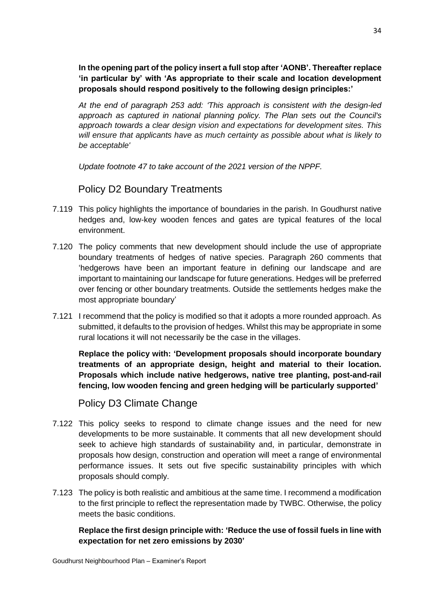**In the opening part of the policy insert a full stop after 'AONB'. Thereafter replace 'in particular by' with 'As appropriate to their scale and location development proposals should respond positively to the following design principles:'**

*At the end of paragraph 253 add: 'This approach is consistent with the design-led approach as captured in national planning policy. The Plan sets out the Council's approach towards a clear design vision and expectations for development sites. This will ensure that applicants have as much certainty as possible about what is likely to be acceptable'*

*Update footnote 47 to take account of the 2021 version of the NPPF.* 

Policy D2 Boundary Treatments

- 7.119 This policy highlights the importance of boundaries in the parish. In Goudhurst native hedges and, low-key wooden fences and gates are typical features of the local environment.
- 7.120 The policy comments that new development should include the use of appropriate boundary treatments of hedges of native species. Paragraph 260 comments that 'hedgerows have been an important feature in defining our landscape and are important to maintaining our landscape for future generations. Hedges will be preferred over fencing or other boundary treatments. Outside the settlements hedges make the most appropriate boundary'
- 7.121 I recommend that the policy is modified so that it adopts a more rounded approach. As submitted, it defaults to the provision of hedges. Whilst this may be appropriate in some rural locations it will not necessarily be the case in the villages.

**Replace the policy with: 'Development proposals should incorporate boundary treatments of an appropriate design, height and material to their location. Proposals which include native hedgerows, native tree planting, post-and-rail fencing, low wooden fencing and green hedging will be particularly supported'**

Policy D3 Climate Change

- 7.122 This policy seeks to respond to climate change issues and the need for new developments to be more sustainable. It comments that all new development should seek to achieve high standards of sustainability and, in particular, demonstrate in proposals how design, construction and operation will meet a range of environmental performance issues. It sets out five specific sustainability principles with which proposals should comply.
- 7.123 The policy is both realistic and ambitious at the same time. I recommend a modification to the first principle to reflect the representation made by TWBC. Otherwise, the policy meets the basic conditions.

**Replace the first design principle with: 'Reduce the use of fossil fuels in line with expectation for net zero emissions by 2030'**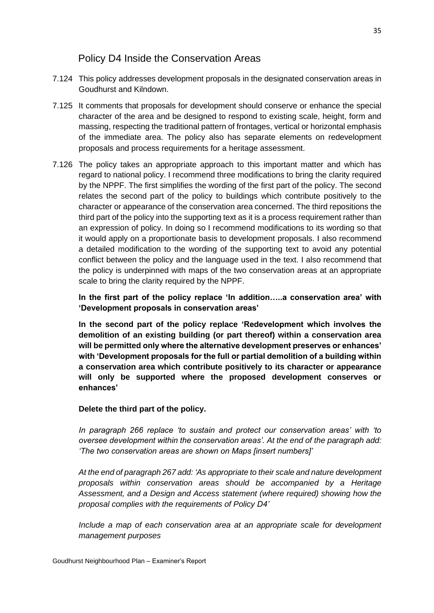# Policy D4 Inside the Conservation Areas

- 7.124 This policy addresses development proposals in the designated conservation areas in Goudhurst and Kilndown.
- 7.125 It comments that proposals for development should conserve or enhance the special character of the area and be designed to respond to existing scale, height, form and massing, respecting the traditional pattern of frontages, vertical or horizontal emphasis of the immediate area. The policy also has separate elements on redevelopment proposals and process requirements for a heritage assessment.
- 7.126 The policy takes an appropriate approach to this important matter and which has regard to national policy. I recommend three modifications to bring the clarity required by the NPPF. The first simplifies the wording of the first part of the policy. The second relates the second part of the policy to buildings which contribute positively to the character or appearance of the conservation area concerned. The third repositions the third part of the policy into the supporting text as it is a process requirement rather than an expression of policy. In doing so I recommend modifications to its wording so that it would apply on a proportionate basis to development proposals. I also recommend a detailed modification to the wording of the supporting text to avoid any potential conflict between the policy and the language used in the text. I also recommend that the policy is underpinned with maps of the two conservation areas at an appropriate scale to bring the clarity required by the NPPF.

**In the first part of the policy replace 'In addition…..a conservation area' with 'Development proposals in conservation areas'**

**In the second part of the policy replace 'Redevelopment which involves the demolition of an existing building (or part thereof) within a conservation area will be permitted only where the alternative development preserves or enhances' with 'Development proposals for the full or partial demolition of a building within a conservation area which contribute positively to its character or appearance will only be supported where the proposed development conserves or enhances'**

#### **Delete the third part of the policy.**

*In paragraph 266 replace 'to sustain and protect our conservation areas' with 'to oversee development within the conservation areas'. At the end of the paragraph add: 'The two conservation areas are shown on Maps [insert numbers]'*

*At the end of paragraph 267 add: 'As appropriate to their scale and nature development proposals within conservation areas should be accompanied by a Heritage Assessment, and a Design and Access statement (where required) showing how the proposal complies with the requirements of Policy D4'*

*Include a map of each conservation area at an appropriate scale for development management purposes*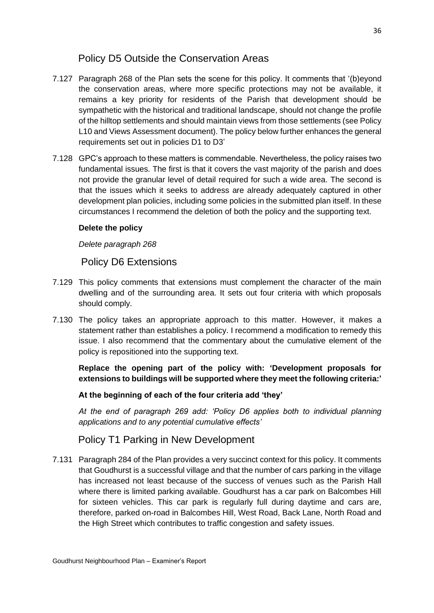# Policy D5 Outside the Conservation Areas

- 7.127 Paragraph 268 of the Plan sets the scene for this policy. It comments that '(b)eyond the conservation areas, where more specific protections may not be available, it remains a key priority for residents of the Parish that development should be sympathetic with the historical and traditional landscape, should not change the profile of the hilltop settlements and should maintain views from those settlements (see Policy L10 and Views Assessment document). The policy below further enhances the general requirements set out in policies D1 to D3'
- 7.128 GPC's approach to these matters is commendable. Nevertheless, the policy raises two fundamental issues. The first is that it covers the vast majority of the parish and does not provide the granular level of detail required for such a wide area. The second is that the issues which it seeks to address are already adequately captured in other development plan policies, including some policies in the submitted plan itself. In these circumstances I recommend the deletion of both the policy and the supporting text.

#### **Delete the policy**

*Delete paragraph 268*

Policy D6 Extensions

- 7.129 This policy comments that extensions must complement the character of the main dwelling and of the surrounding area. It sets out four criteria with which proposals should comply.
- 7.130 The policy takes an appropriate approach to this matter. However, it makes a statement rather than establishes a policy. I recommend a modification to remedy this issue. I also recommend that the commentary about the cumulative element of the policy is repositioned into the supporting text.

**Replace the opening part of the policy with: 'Development proposals for extensions to buildings will be supported where they meet the following criteria:'**

#### **At the beginning of each of the four criteria add 'they'**

*At the end of paragraph 269 add: 'Policy D6 applies both to individual planning applications and to any potential cumulative effects'*

# Policy T1 Parking in New Development

7.131 Paragraph 284 of the Plan provides a very succinct context for this policy. It comments that Goudhurst is a successful village and that the number of cars parking in the village has increased not least because of the success of venues such as the Parish Hall where there is limited parking available. Goudhurst has a car park on Balcombes Hill for sixteen vehicles. This car park is regularly full during daytime and cars are, therefore, parked on-road in Balcombes Hill, West Road, Back Lane, North Road and the High Street which contributes to traffic congestion and safety issues.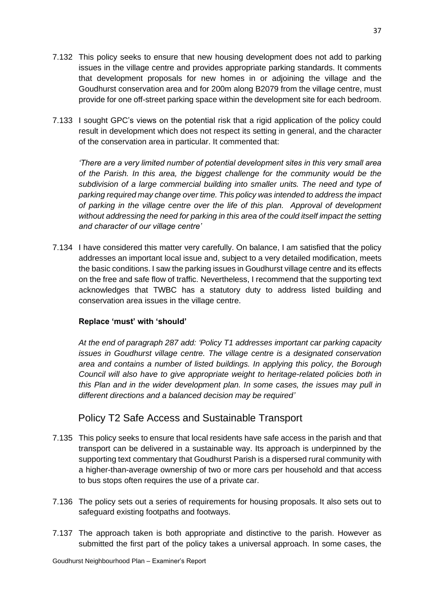7.132 This policy seeks to ensure that new housing development does not add to parking issues in the village centre and provides appropriate parking standards. It comments that development proposals for new homes in or adjoining the village and the Goudhurst conservation area and for 200m along B2079 from the village centre, must provide for one off-street parking space within the development site for each bedroom.

37

7.133 I sought GPC's views on the potential risk that a rigid application of the policy could result in development which does not respect its setting in general, and the character of the conservation area in particular. It commented that:

*'There are a very limited number of potential development sites in this very small area of the Parish. In this area, the biggest challenge for the community would be the subdivision of a large commercial building into smaller units. The need and type of parking required may change over time. This policy was intended to address the impact of parking in the village centre over the life of this plan. Approval of development without addressing the need for parking in this area of the could itself impact the setting and character of our village centre'*

7.134 I have considered this matter very carefully. On balance, I am satisfied that the policy addresses an important local issue and, subject to a very detailed modification, meets the basic conditions. I saw the parking issues in Goudhurst village centre and its effects on the free and safe flow of traffic. Nevertheless, I recommend that the supporting text acknowledges that TWBC has a statutory duty to address listed building and conservation area issues in the village centre.

#### **Replace 'must' with 'should'**

*At the end of paragraph 287 add: 'Policy T1 addresses important car parking capacity issues in Goudhurst village centre. The village centre is a designated conservation area and contains a number of listed buildings. In applying this policy, the Borough Council will also have to give appropriate weight to heritage-related policies both in this Plan and in the wider development plan. In some cases, the issues may pull in different directions and a balanced decision may be required'*

# Policy T2 Safe Access and Sustainable Transport

- 7.135 This policy seeks to ensure that local residents have safe access in the parish and that transport can be delivered in a sustainable way. Its approach is underpinned by the supporting text commentary that Goudhurst Parish is a dispersed rural community with a higher-than-average ownership of two or more cars per household and that access to bus stops often requires the use of a private car.
- 7.136 The policy sets out a series of requirements for housing proposals. It also sets out to safeguard existing footpaths and footways.
- 7.137 The approach taken is both appropriate and distinctive to the parish. However as submitted the first part of the policy takes a universal approach. In some cases, the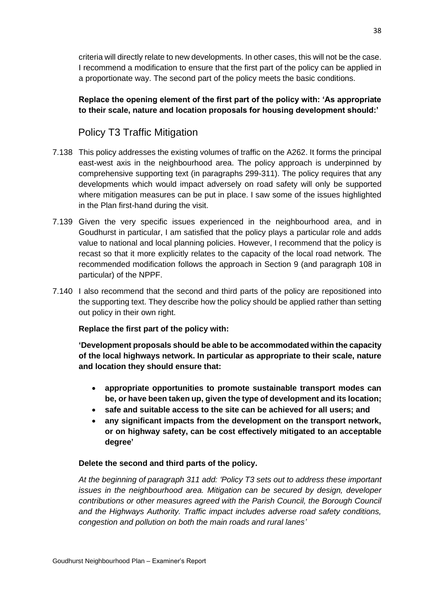criteria will directly relate to new developments. In other cases, this will not be the case. I recommend a modification to ensure that the first part of the policy can be applied in a proportionate way. The second part of the policy meets the basic conditions.

#### **Replace the opening element of the first part of the policy with: 'As appropriate to their scale, nature and location proposals for housing development should:'**

# Policy T3 Traffic Mitigation

- 7.138 This policy addresses the existing volumes of traffic on the A262. It forms the principal east-west axis in the neighbourhood area. The policy approach is underpinned by comprehensive supporting text (in paragraphs 299-311). The policy requires that any developments which would impact adversely on road safety will only be supported where mitigation measures can be put in place. I saw some of the issues highlighted in the Plan first-hand during the visit.
- 7.139 Given the very specific issues experienced in the neighbourhood area, and in Goudhurst in particular, I am satisfied that the policy plays a particular role and adds value to national and local planning policies. However, I recommend that the policy is recast so that it more explicitly relates to the capacity of the local road network. The recommended modification follows the approach in Section 9 (and paragraph 108 in particular) of the NPPF.
- 7.140 I also recommend that the second and third parts of the policy are repositioned into the supporting text. They describe how the policy should be applied rather than setting out policy in their own right.

#### **Replace the first part of the policy with:**

**'Development proposals should be able to be accommodated within the capacity of the local highways network. In particular as appropriate to their scale, nature and location they should ensure that:** 

- **appropriate opportunities to promote sustainable transport modes can be, or have been taken up, given the type of development and its location;**
- **safe and suitable access to the site can be achieved for all users; and**
- **any significant impacts from the development on the transport network, or on highway safety, can be cost effectively mitigated to an acceptable degree'**

#### **Delete the second and third parts of the policy.**

*At the beginning of paragraph 311 add: 'Policy T3 sets out to address these important issues in the neighbourhood area. Mitigation can be secured by design, developer contributions or other measures agreed with the Parish Council, the Borough Council and the Highways Authority. Traffic impact includes adverse road safety conditions, congestion and pollution on both the main roads and rural lanes'*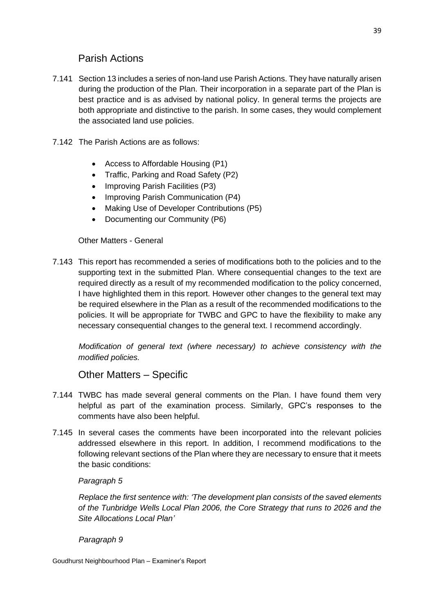# Parish Actions

- 7.141 Section 13 includes a series of non-land use Parish Actions. They have naturally arisen during the production of the Plan. Their incorporation in a separate part of the Plan is best practice and is as advised by national policy. In general terms the projects are both appropriate and distinctive to the parish. In some cases, they would complement the associated land use policies.
- 7.142 The Parish Actions are as follows:
	- Access to Affordable Housing (P1)
	- Traffic, Parking and Road Safety (P2)
	- Improving Parish Facilities (P3)
	- Improving Parish Communication (P4)
	- Making Use of Developer Contributions (P5)
	- Documenting our Community (P6)

Other Matters - General

7.143 This report has recommended a series of modifications both to the policies and to the supporting text in the submitted Plan. Where consequential changes to the text are required directly as a result of my recommended modification to the policy concerned, I have highlighted them in this report. However other changes to the general text may be required elsewhere in the Plan as a result of the recommended modifications to the policies. It will be appropriate for TWBC and GPC to have the flexibility to make any necessary consequential changes to the general text. I recommend accordingly.

*Modification of general text (where necessary) to achieve consistency with the modified policies.*

# Other Matters – Specific

- 7.144 TWBC has made several general comments on the Plan. I have found them very helpful as part of the examination process. Similarly, GPC's responses to the comments have also been helpful.
- 7.145 In several cases the comments have been incorporated into the relevant policies addressed elsewhere in this report. In addition, I recommend modifications to the following relevant sections of the Plan where they are necessary to ensure that it meets the basic conditions:

#### *Paragraph 5*

*Replace the first sentence with: 'The development plan consists of the saved elements of the Tunbridge Wells Local Plan 2006, the Core Strategy that runs to 2026 and the Site Allocations Local Plan'*

#### *Paragraph 9*

Goudhurst Neighbourhood Plan – Examiner's Report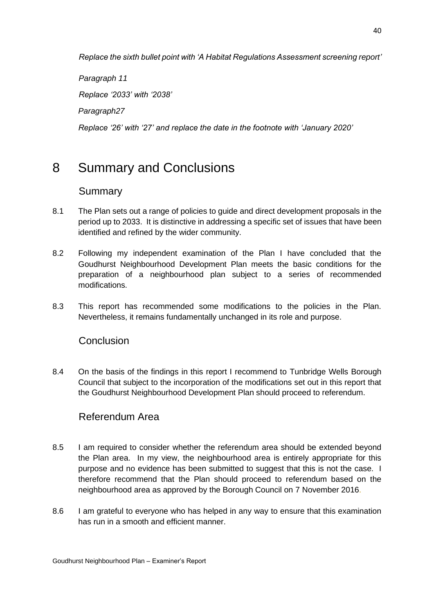*Replace the sixth bullet point with 'A Habitat Regulations Assessment screening report'*

*Paragraph 11 Replace '2033' with '2038' Paragraph27 Replace '26' with '27' and replace the date in the footnote with 'January 2020'*

# 8 Summary and Conclusions

# Summary

- 8.1 The Plan sets out a range of policies to guide and direct development proposals in the period up to 2033. It is distinctive in addressing a specific set of issues that have been identified and refined by the wider community.
- 8.2 Following my independent examination of the Plan I have concluded that the Goudhurst Neighbourhood Development Plan meets the basic conditions for the preparation of a neighbourhood plan subject to a series of recommended modifications.
- 8.3 This report has recommended some modifications to the policies in the Plan. Nevertheless, it remains fundamentally unchanged in its role and purpose.

# Conclusion

8.4 On the basis of the findings in this report I recommend to Tunbridge Wells Borough Council that subject to the incorporation of the modifications set out in this report that the Goudhurst Neighbourhood Development Plan should proceed to referendum.

# Referendum Area

- 8.5 I am required to consider whether the referendum area should be extended beyond the Plan area. In my view, the neighbourhood area is entirely appropriate for this purpose and no evidence has been submitted to suggest that this is not the case. I therefore recommend that the Plan should proceed to referendum based on the neighbourhood area as approved by the Borough Council on 7 November 2016.
- 8.6 I am grateful to everyone who has helped in any way to ensure that this examination has run in a smooth and efficient manner.